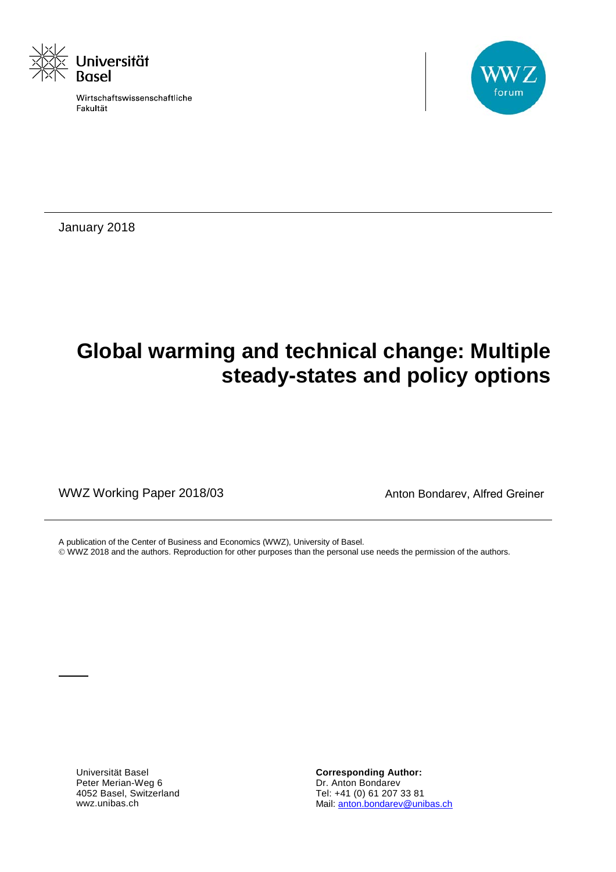

Wirtschaftswissenschaftliche Fakultät



January 2018

# **Global warming and technical change: Multiple steady-states and policy options**

WWZ Working Paper 2018/03 MWZ Working Paper 2018/03

A publication of the Center of Business and Economics (WWZ), University of Basel.

WWZ 2018 and the authors. Reproduction for other purposes than the personal use needs the permission of the authors.

Universität Basel Peter Merian-Weg 6 4052 Basel, Switzerland wwz.unibas.ch

**Corresponding Author:** Dr. Anton Bondarev Tel: +41 (0) 61 207 33 81 Mail[: anton.bondarev@unibas.ch](mailto:anton.bondarev@unibas.ch)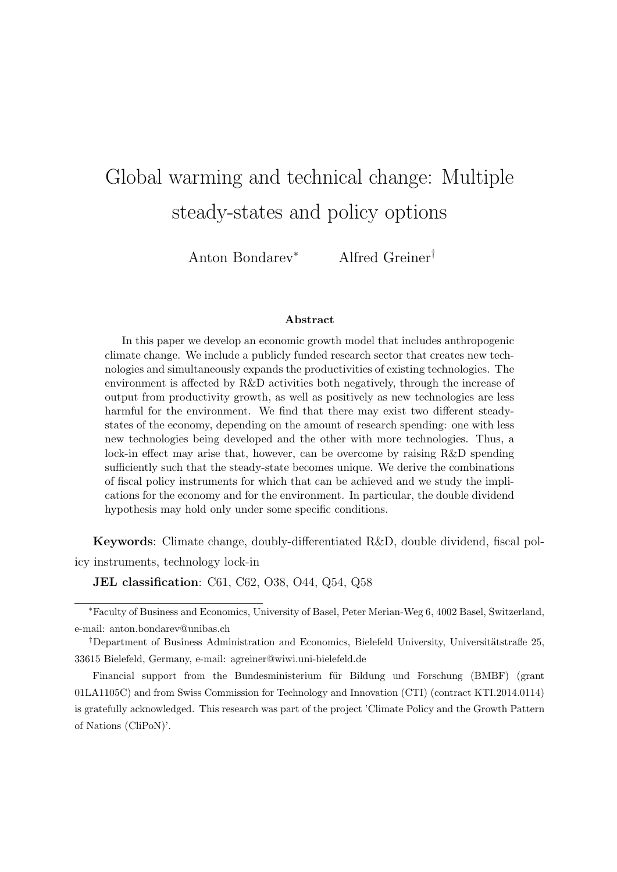# Global warming and technical change: Multiple steady-states and policy options

Anton Bondarev<sup>∗</sup> Alfred Greiner†

#### Abstract

In this paper we develop an economic growth model that includes anthropogenic climate change. We include a publicly funded research sector that creates new technologies and simultaneously expands the productivities of existing technologies. The environment is affected by R&D activities both negatively, through the increase of output from productivity growth, as well as positively as new technologies are less harmful for the environment. We find that there may exist two different steadystates of the economy, depending on the amount of research spending: one with less new technologies being developed and the other with more technologies. Thus, a lock-in effect may arise that, however, can be overcome by raising R&D spending sufficiently such that the steady-state becomes unique. We derive the combinations of fiscal policy instruments for which that can be achieved and we study the implications for the economy and for the environment. In particular, the double dividend hypothesis may hold only under some specific conditions.

Keywords: Climate change, doubly-differentiated R&D, double dividend, fiscal policy instruments, technology lock-in

JEL classification: C61, C62, O38, O44, Q54, Q58

<sup>∗</sup>Faculty of Business and Economics, University of Basel, Peter Merian-Weg 6, 4002 Basel, Switzerland, e-mail: anton.bondarev@unibas.ch

<sup>&</sup>lt;sup>†</sup>Department of Business Administration and Economics, Bielefeld University, Universitätstraße 25, 33615 Bielefeld, Germany, e-mail: agreiner@wiwi.uni-bielefeld.de

Financial support from the Bundesministerium für Bildung und Forschung (BMBF) (grant 01LA1105C) and from Swiss Commission for Technology and Innovation (CTI) (contract KTI.2014.0114) is gratefully acknowledged. This research was part of the project 'Climate Policy and the Growth Pattern of Nations (CliPoN)'.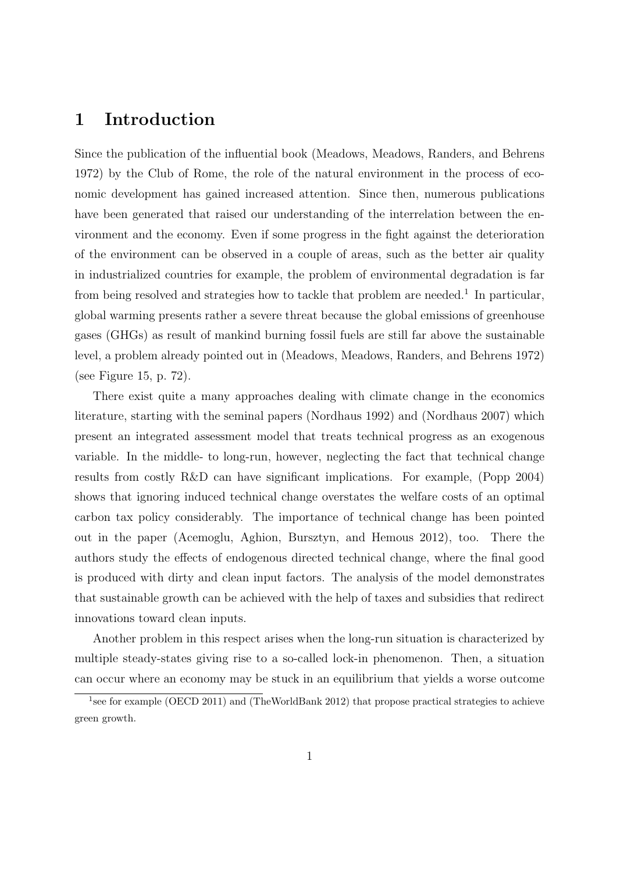## 1 Introduction

Since the publication of the influential book (Meadows, Meadows, Randers, and Behrens 1972) by the Club of Rome, the role of the natural environment in the process of economic development has gained increased attention. Since then, numerous publications have been generated that raised our understanding of the interrelation between the environment and the economy. Even if some progress in the fight against the deterioration of the environment can be observed in a couple of areas, such as the better air quality in industrialized countries for example, the problem of environmental degradation is far from being resolved and strategies how to tackle that problem are needed.<sup>1</sup> In particular, global warming presents rather a severe threat because the global emissions of greenhouse gases (GHGs) as result of mankind burning fossil fuels are still far above the sustainable level, a problem already pointed out in (Meadows, Meadows, Randers, and Behrens 1972) (see Figure 15, p. 72).

There exist quite a many approaches dealing with climate change in the economics literature, starting with the seminal papers (Nordhaus 1992) and (Nordhaus 2007) which present an integrated assessment model that treats technical progress as an exogenous variable. In the middle- to long-run, however, neglecting the fact that technical change results from costly R&D can have significant implications. For example, (Popp 2004) shows that ignoring induced technical change overstates the welfare costs of an optimal carbon tax policy considerably. The importance of technical change has been pointed out in the paper (Acemoglu, Aghion, Bursztyn, and Hemous 2012), too. There the authors study the effects of endogenous directed technical change, where the final good is produced with dirty and clean input factors. The analysis of the model demonstrates that sustainable growth can be achieved with the help of taxes and subsidies that redirect innovations toward clean inputs.

Another problem in this respect arises when the long-run situation is characterized by multiple steady-states giving rise to a so-called lock-in phenomenon. Then, a situation can occur where an economy may be stuck in an equilibrium that yields a worse outcome

<sup>&</sup>lt;sup>1</sup> see for example (OECD 2011) and (TheWorldBank 2012) that propose practical strategies to achieve green growth.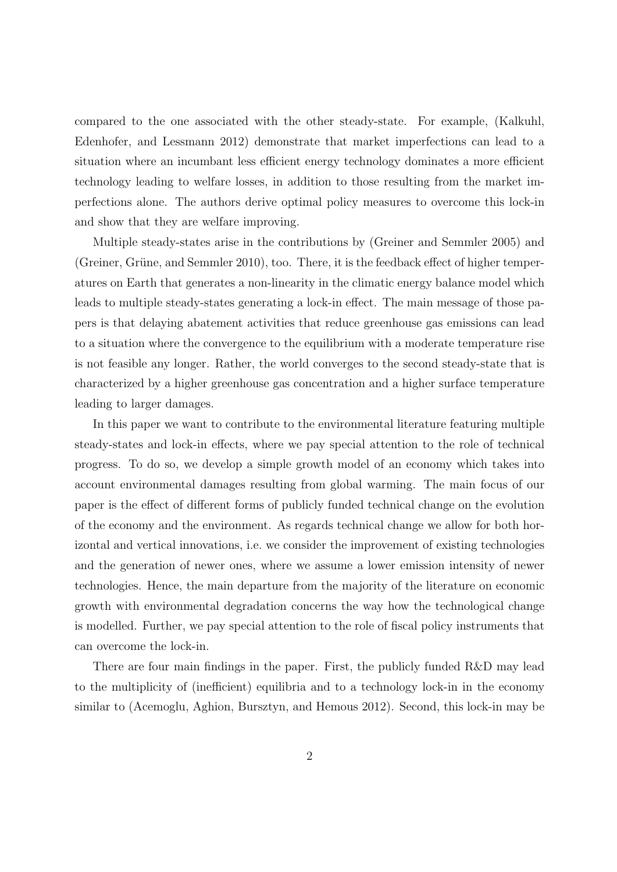compared to the one associated with the other steady-state. For example, (Kalkuhl, Edenhofer, and Lessmann 2012) demonstrate that market imperfections can lead to a situation where an incumbant less efficient energy technology dominates a more efficient technology leading to welfare losses, in addition to those resulting from the market imperfections alone. The authors derive optimal policy measures to overcome this lock-in and show that they are welfare improving.

Multiple steady-states arise in the contributions by (Greiner and Semmler 2005) and (Greiner, Grüne, and Semmler 2010), too. There, it is the feedback effect of higher temperatures on Earth that generates a non-linearity in the climatic energy balance model which leads to multiple steady-states generating a lock-in effect. The main message of those papers is that delaying abatement activities that reduce greenhouse gas emissions can lead to a situation where the convergence to the equilibrium with a moderate temperature rise is not feasible any longer. Rather, the world converges to the second steady-state that is characterized by a higher greenhouse gas concentration and a higher surface temperature leading to larger damages.

In this paper we want to contribute to the environmental literature featuring multiple steady-states and lock-in effects, where we pay special attention to the role of technical progress. To do so, we develop a simple growth model of an economy which takes into account environmental damages resulting from global warming. The main focus of our paper is the effect of different forms of publicly funded technical change on the evolution of the economy and the environment. As regards technical change we allow for both horizontal and vertical innovations, i.e. we consider the improvement of existing technologies and the generation of newer ones, where we assume a lower emission intensity of newer technologies. Hence, the main departure from the majority of the literature on economic growth with environmental degradation concerns the way how the technological change is modelled. Further, we pay special attention to the role of fiscal policy instruments that can overcome the lock-in.

There are four main findings in the paper. First, the publicly funded R&D may lead to the multiplicity of (inefficient) equilibria and to a technology lock-in in the economy similar to (Acemoglu, Aghion, Bursztyn, and Hemous 2012). Second, this lock-in may be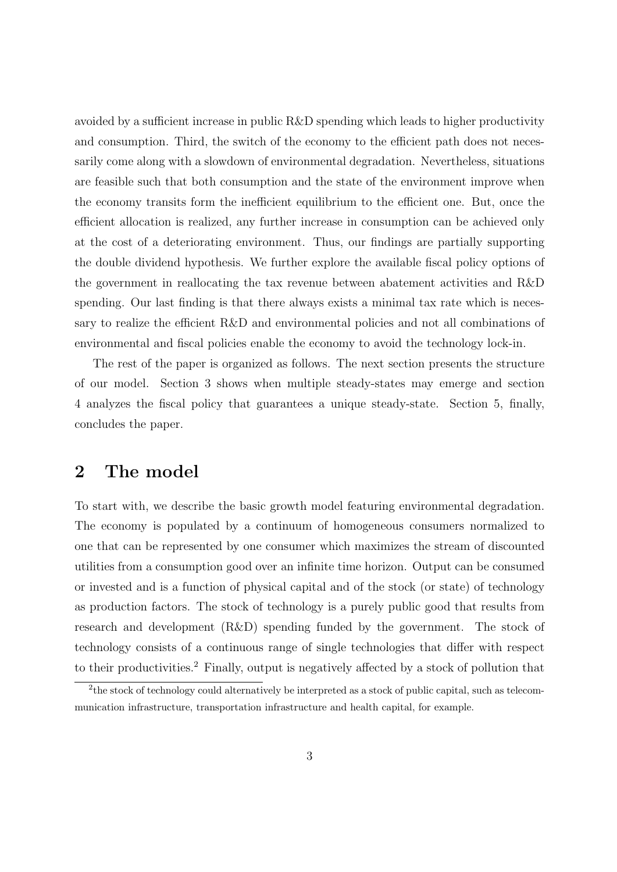avoided by a sufficient increase in public R&D spending which leads to higher productivity and consumption. Third, the switch of the economy to the efficient path does not necessarily come along with a slowdown of environmental degradation. Nevertheless, situations are feasible such that both consumption and the state of the environment improve when the economy transits form the inefficient equilibrium to the efficient one. But, once the efficient allocation is realized, any further increase in consumption can be achieved only at the cost of a deteriorating environment. Thus, our findings are partially supporting the double dividend hypothesis. We further explore the available fiscal policy options of the government in reallocating the tax revenue between abatement activities and R&D spending. Our last finding is that there always exists a minimal tax rate which is necessary to realize the efficient R&D and environmental policies and not all combinations of environmental and fiscal policies enable the economy to avoid the technology lock-in.

The rest of the paper is organized as follows. The next section presents the structure of our model. Section 3 shows when multiple steady-states may emerge and section 4 analyzes the fiscal policy that guarantees a unique steady-state. Section 5, finally, concludes the paper.

## 2 The model

To start with, we describe the basic growth model featuring environmental degradation. The economy is populated by a continuum of homogeneous consumers normalized to one that can be represented by one consumer which maximizes the stream of discounted utilities from a consumption good over an infinite time horizon. Output can be consumed or invested and is a function of physical capital and of the stock (or state) of technology as production factors. The stock of technology is a purely public good that results from research and development (R&D) spending funded by the government. The stock of technology consists of a continuous range of single technologies that differ with respect to their productivities.<sup>2</sup> Finally, output is negatively affected by a stock of pollution that

<sup>&</sup>lt;sup>2</sup>the stock of technology could alternatively be interpreted as a stock of public capital, such as telecommunication infrastructure, transportation infrastructure and health capital, for example.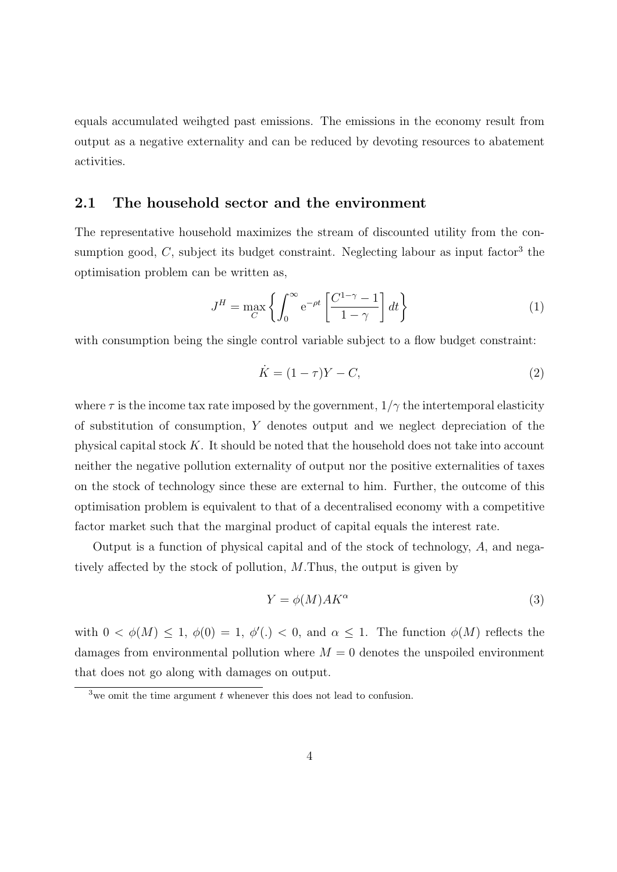equals accumulated weihgted past emissions. The emissions in the economy result from output as a negative externality and can be reduced by devoting resources to abatement activities.

### 2.1 The household sector and the environment

The representative household maximizes the stream of discounted utility from the consumption good,  $C$ , subject its budget constraint. Neglecting labour as input factor<sup>3</sup> the optimisation problem can be written as,

$$
J^H = \max_C \left\{ \int_0^\infty e^{-\rho t} \left[ \frac{C^{1-\gamma} - 1}{1 - \gamma} \right] dt \right\} \tag{1}
$$

with consumption being the single control variable subject to a flow budget constraint:

$$
\dot{K} = (1 - \tau)Y - C,\tag{2}
$$

where  $\tau$  is the income tax rate imposed by the government,  $1/\gamma$  the intertemporal elasticity of substitution of consumption, Y denotes output and we neglect depreciation of the physical capital stock  $K$ . It should be noted that the household does not take into account neither the negative pollution externality of output nor the positive externalities of taxes on the stock of technology since these are external to him. Further, the outcome of this optimisation problem is equivalent to that of a decentralised economy with a competitive factor market such that the marginal product of capital equals the interest rate.

Output is a function of physical capital and of the stock of technology, A, and negatively affected by the stock of pollution, M.Thus, the output is given by

$$
Y = \phi(M)AK^{\alpha}
$$
 (3)

with  $0 < \phi(M) \leq 1$ ,  $\phi(0) = 1$ ,  $\phi'(\cdot) < 0$ , and  $\alpha \leq 1$ . The function  $\phi(M)$  reflects the damages from environmental pollution where  $M = 0$  denotes the unspoiled environment that does not go along with damages on output.

<sup>&</sup>lt;sup>3</sup>we omit the time argument  $t$  whenever this does not lead to confusion.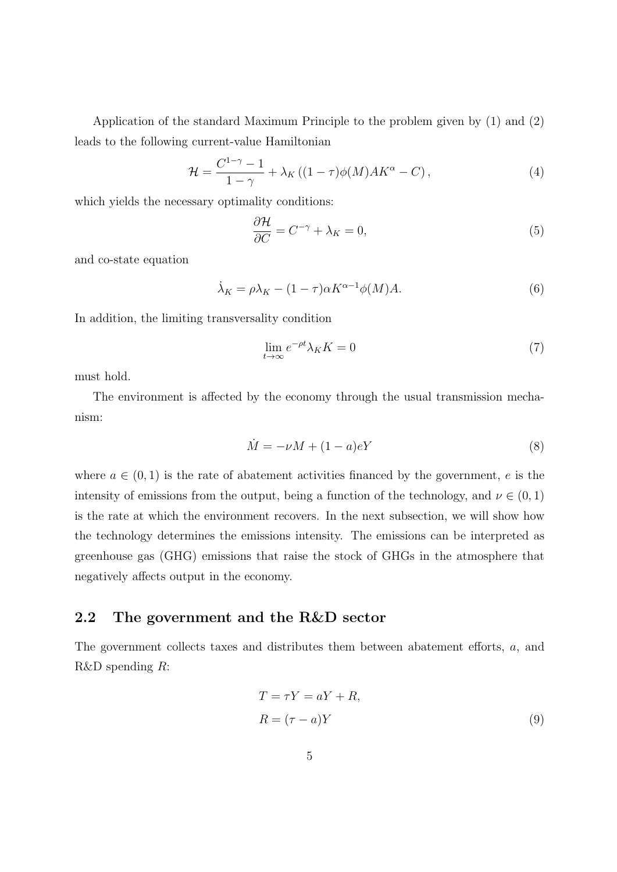Application of the standard Maximum Principle to the problem given by (1) and (2) leads to the following current-value Hamiltonian

$$
\mathcal{H} = \frac{C^{1-\gamma} - 1}{1 - \gamma} + \lambda_K \left( (1 - \tau) \phi(M) A K^{\alpha} - C \right),\tag{4}
$$

which yields the necessary optimality conditions:

$$
\frac{\partial \mathcal{H}}{\partial C} = C^{-\gamma} + \lambda_K = 0,\tag{5}
$$

and co-state equation

$$
\dot{\lambda}_K = \rho \lambda_K - (1 - \tau) \alpha K^{\alpha - 1} \phi(M) A. \tag{6}
$$

In addition, the limiting transversality condition

$$
\lim_{t \to \infty} e^{-\rho t} \lambda_K K = 0 \tag{7}
$$

must hold.

The environment is affected by the economy through the usual transmission mechanism:

$$
\dot{M} = -\nu M + (1 - a)eY\tag{8}
$$

where  $a \in (0,1)$  is the rate of abatement activities financed by the government, e is the intensity of emissions from the output, being a function of the technology, and  $\nu \in (0,1)$ is the rate at which the environment recovers. In the next subsection, we will show how the technology determines the emissions intensity. The emissions can be interpreted as greenhouse gas (GHG) emissions that raise the stock of GHGs in the atmosphere that negatively affects output in the economy.

## 2.2 The government and the R&D sector

The government collects taxes and distributes them between abatement efforts, a, and R&D spending R:

$$
T = \tau Y = aY + R,
$$
  
\n
$$
R = (\tau - a)Y
$$
\n(9)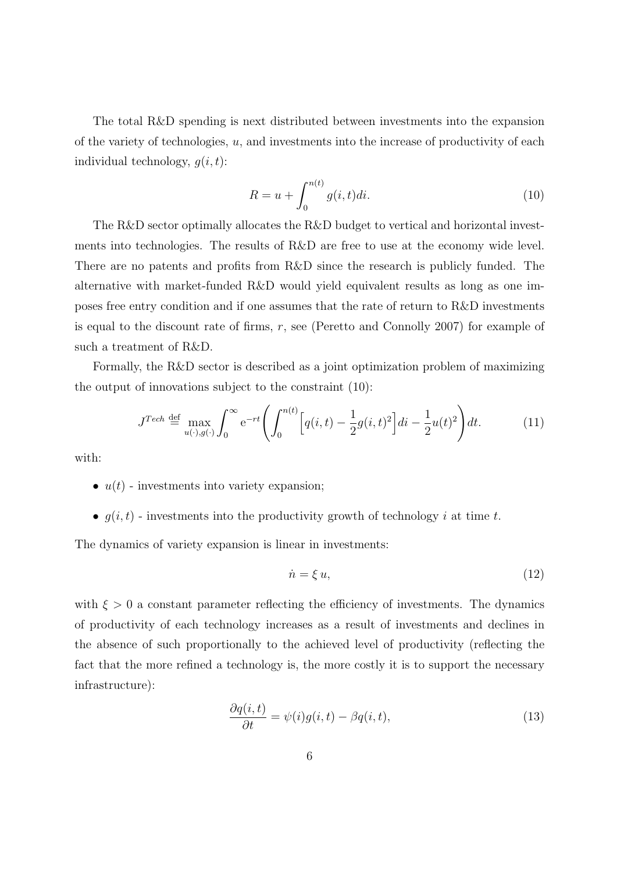The total R&D spending is next distributed between investments into the expansion of the variety of technologies,  $u$ , and investments into the increase of productivity of each individual technology,  $q(i, t)$ :

$$
R = u + \int_0^{n(t)} g(i, t)di.
$$
 (10)

The R&D sector optimally allocates the R&D budget to vertical and horizontal investments into technologies. The results of R&D are free to use at the economy wide level. There are no patents and profits from R&D since the research is publicly funded. The alternative with market-funded R&D would yield equivalent results as long as one imposes free entry condition and if one assumes that the rate of return to R&D investments is equal to the discount rate of firms,  $r$ , see (Peretto and Connolly 2007) for example of such a treatment of R&D.

Formally, the R&D sector is described as a joint optimization problem of maximizing the output of innovations subject to the constraint (10):

$$
J^{Tech} \stackrel{\text{def}}{=} \max_{u(\cdot), g(\cdot)} \int_0^\infty e^{-rt} \left( \int_0^{n(t)} \left[ q(i, t) - \frac{1}{2} g(i, t)^2 \right] di - \frac{1}{2} u(t)^2 \right) dt. \tag{11}
$$

with:

- $u(t)$  investments into variety expansion;
- $q(i, t)$  investments into the productivity growth of technology i at time t.

The dynamics of variety expansion is linear in investments:

$$
\dot{n} = \xi u,\tag{12}
$$

with  $\xi > 0$  a constant parameter reflecting the efficiency of investments. The dynamics of productivity of each technology increases as a result of investments and declines in the absence of such proportionally to the achieved level of productivity (reflecting the fact that the more refined a technology is, the more costly it is to support the necessary infrastructure):

$$
\frac{\partial q(i,t)}{\partial t} = \psi(i)g(i,t) - \beta q(i,t),\tag{13}
$$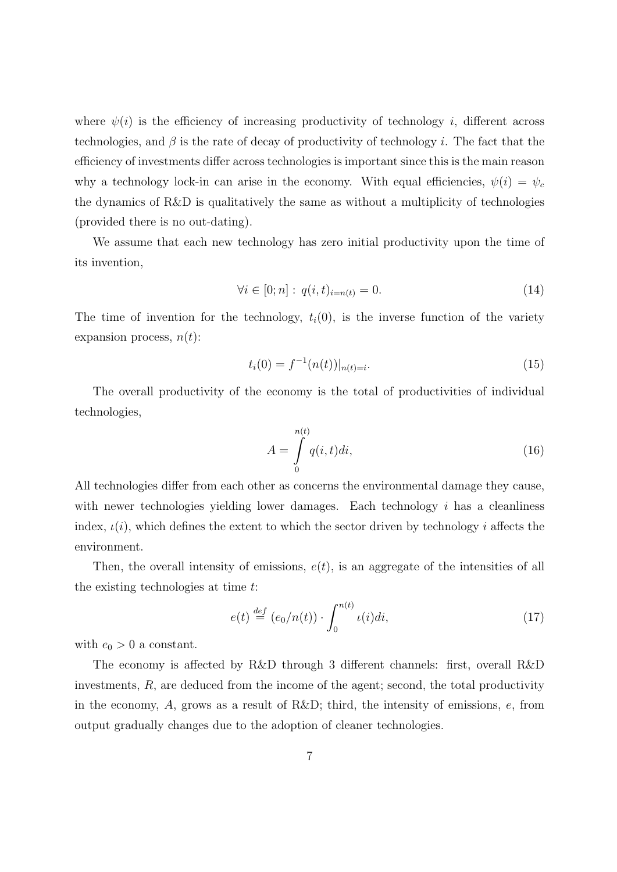where  $\psi(i)$  is the efficiency of increasing productivity of technology i, different across technologies, and  $\beta$  is the rate of decay of productivity of technology i. The fact that the efficiency of investments differ across technologies is important since this is the main reason why a technology lock-in can arise in the economy. With equal efficiencies,  $\psi(i) = \psi_c$ the dynamics of R&D is qualitatively the same as without a multiplicity of technologies (provided there is no out-dating).

We assume that each new technology has zero initial productivity upon the time of its invention,

$$
\forall i \in [0; n]: q(i, t)_{i = n(t)} = 0.
$$
\n(14)

The time of invention for the technology,  $t_i(0)$ , is the inverse function of the variety expansion process,  $n(t)$ :

$$
t_i(0) = f^{-1}(n(t))|_{n(t)=i}.\tag{15}
$$

The overall productivity of the economy is the total of productivities of individual technologies,

$$
A = \int_{0}^{n(t)} q(i, t)di,
$$
\n(16)

All technologies differ from each other as concerns the environmental damage they cause, with newer technologies yielding lower damages. Each technology  $i$  has a cleanliness index,  $\iota(i)$ , which defines the extent to which the sector driven by technology i affects the environment.

Then, the overall intensity of emissions,  $e(t)$ , is an aggregate of the intensities of all the existing technologies at time t:

$$
e(t) \stackrel{def}{=} (e_0/n(t)) \cdot \int_0^{n(t)} \iota(i)di,
$$
 (17)

with  $e_0 > 0$  a constant.

The economy is affected by R&D through 3 different channels: first, overall R&D investments,  $R$ , are deduced from the income of the agent; second, the total productivity in the economy, A, grows as a result of R&D; third, the intensity of emissions,  $e$ , from output gradually changes due to the adoption of cleaner technologies.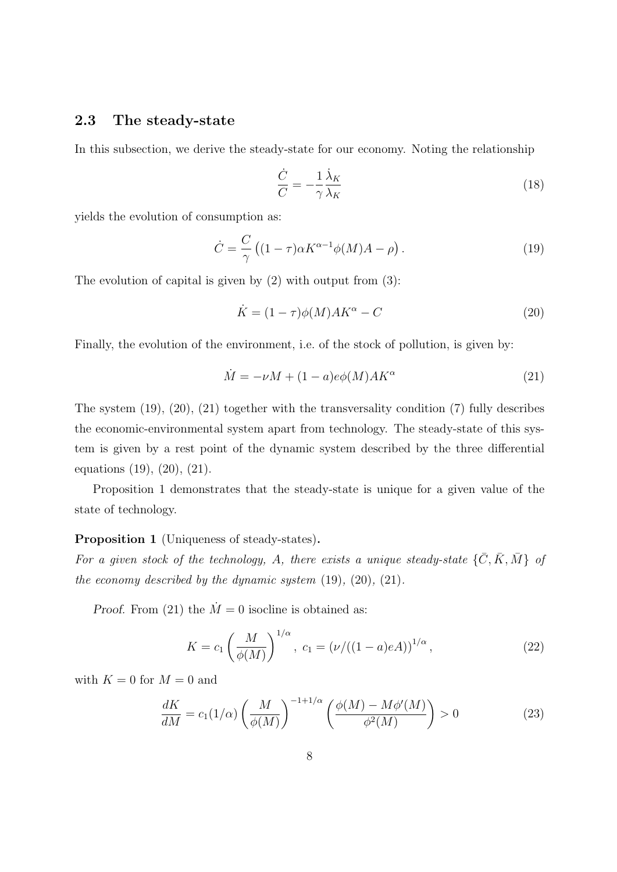## 2.3 The steady-state

In this subsection, we derive the steady-state for our economy. Noting the relationship

$$
\frac{\dot{C}}{C} = -\frac{1}{\gamma} \frac{\dot{\lambda}_K}{\lambda_K} \tag{18}
$$

yields the evolution of consumption as:

$$
\dot{C} = \frac{C}{\gamma} \left( (1 - \tau) \alpha K^{\alpha - 1} \phi(M) A - \rho \right). \tag{19}
$$

The evolution of capital is given by  $(2)$  with output from  $(3)$ :

$$
\dot{K} = (1 - \tau)\phi(M)AK^{\alpha} - C \tag{20}
$$

Finally, the evolution of the environment, i.e. of the stock of pollution, is given by:

$$
\dot{M} = -\nu M + (1 - a)e\phi(M)AK^{\alpha}
$$
\n(21)

The system (19), (20), (21) together with the transversality condition (7) fully describes the economic-environmental system apart from technology. The steady-state of this system is given by a rest point of the dynamic system described by the three differential equations (19), (20), (21).

Proposition 1 demonstrates that the steady-state is unique for a given value of the state of technology.

#### Proposition 1 (Uniqueness of steady-states).

For a given stock of the technology, A, there exists a unique steady-state  $\{\bar{C}, \bar{K}, \bar{M}\}$  of the economy described by the dynamic system  $(19)$ ,  $(20)$ ,  $(21)$ .

*Proof.* From (21) the  $\dot{M} = 0$  isocline is obtained as:

$$
K = c_1 \left(\frac{M}{\phi(M)}\right)^{1/\alpha}, \ c_1 = \left(\frac{\nu}{((1-a)eA)}\right)^{1/\alpha}, \tag{22}
$$

with  $K = 0$  for  $M = 0$  and

$$
\frac{dK}{dM} = c_1(1/\alpha) \left(\frac{M}{\phi(M)}\right)^{-1+1/\alpha} \left(\frac{\phi(M) - M\phi'(M)}{\phi^2(M)}\right) > 0 \tag{23}
$$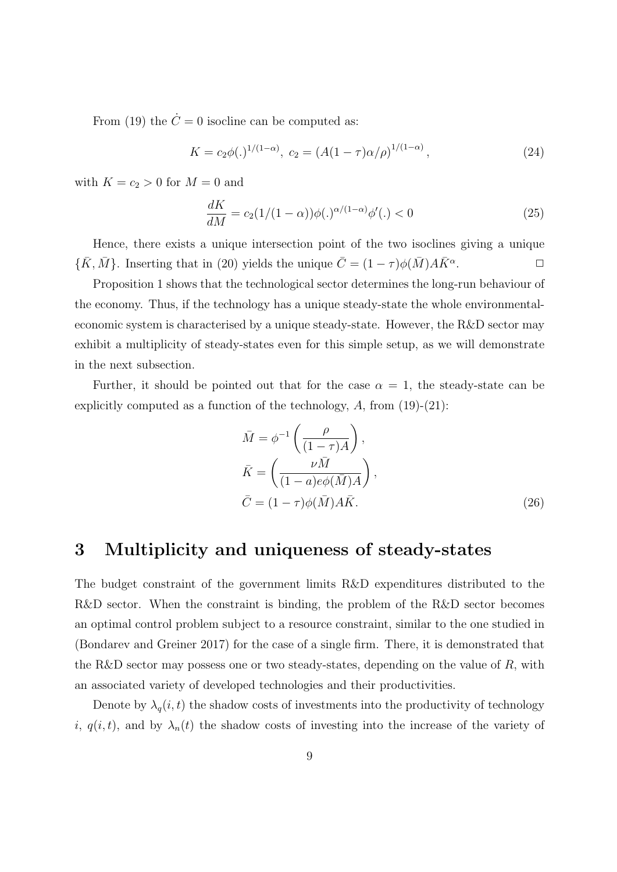From (19) the  $\dot{C}=0$  isocline can be computed as:

$$
K = c_2 \phi(.)^{1/(1-\alpha)}, \ c_2 = (A(1-\tau)\alpha/\rho)^{1/(1-\alpha)}, \tag{24}
$$

with  $K = c_2 > 0$  for  $M = 0$  and

$$
\frac{dK}{dM} = c_2(1/(1-\alpha))\phi(.)^{\alpha/(1-\alpha)}\phi'(.) < 0
$$
\n(25)

Hence, there exists a unique intersection point of the two isoclines giving a unique  $\{\bar{K}, \bar{M}\}\$ . Inserting that in (20) yields the unique  $\bar{C} = (1 - \tau)\phi(\bar{M})A\bar{K}^{\alpha}$ .  $\Box$ 

Proposition 1 shows that the technological sector determines the long-run behaviour of the economy. Thus, if the technology has a unique steady-state the whole environmentaleconomic system is characterised by a unique steady-state. However, the R&D sector may exhibit a multiplicity of steady-states even for this simple setup, as we will demonstrate in the next subsection.

Further, it should be pointed out that for the case  $\alpha = 1$ , the steady-state can be explicitly computed as a function of the technology,  $A$ , from  $(19)-(21)$ :

$$
\bar{M} = \phi^{-1} \left( \frac{\rho}{(1 - \tau)A} \right),
$$
\n
$$
\bar{K} = \left( \frac{\nu \bar{M}}{(1 - a)e\phi(\bar{M})A} \right),
$$
\n
$$
\bar{C} = (1 - \tau)\phi(\bar{M})A\bar{K}.
$$
\n(26)

## 3 Multiplicity and uniqueness of steady-states

The budget constraint of the government limits R&D expenditures distributed to the R&D sector. When the constraint is binding, the problem of the R&D sector becomes an optimal control problem subject to a resource constraint, similar to the one studied in (Bondarev and Greiner 2017) for the case of a single firm. There, it is demonstrated that the R&D sector may possess one or two steady-states, depending on the value of  $R$ , with an associated variety of developed technologies and their productivities.

Denote by  $\lambda_q(i, t)$  the shadow costs of investments into the productivity of technology i,  $q(i, t)$ , and by  $\lambda_n(t)$  the shadow costs of investing into the increase of the variety of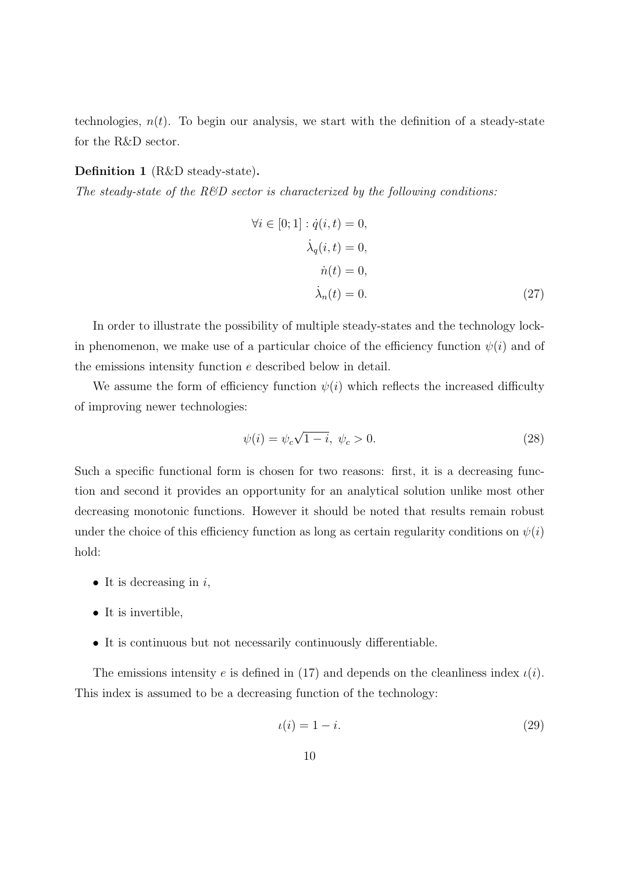technologies,  $n(t)$ . To begin our analysis, we start with the definition of a steady-state for the R&D sector.

#### Definition 1 (R&D steady-state).

The steady-state of the  $R\&D$  sector is characterized by the following conditions:

$$
\forall i \in [0; 1]: \dot{q}(i, t) = 0,
$$
  
\n
$$
\dot{\lambda}_q(i, t) = 0,
$$
  
\n
$$
\dot{n}(t) = 0,
$$
  
\n
$$
\dot{\lambda}_n(t) = 0.
$$
\n(27)

In order to illustrate the possibility of multiple steady-states and the technology lockin phenomenon, we make use of a particular choice of the efficiency function  $\psi(i)$  and of the emissions intensity function e described below in detail.

We assume the form of efficiency function  $\psi(i)$  which reflects the increased difficulty of improving newer technologies:

$$
\psi(i) = \psi_c \sqrt{1 - i}, \ \psi_c > 0. \tag{28}
$$

Such a specific functional form is chosen for two reasons: first, it is a decreasing function and second it provides an opportunity for an analytical solution unlike most other decreasing monotonic functions. However it should be noted that results remain robust under the choice of this efficiency function as long as certain regularity conditions on  $\psi(i)$ hold:

- It is decreasing in  $i$ ,
- It is invertible,
- It is continuous but not necessarily continuously differentiable.

The emissions intensity e is defined in (17) and depends on the cleanliness index  $\iota(i)$ . This index is assumed to be a decreasing function of the technology:

$$
u(i) = 1 - i.\tag{29}
$$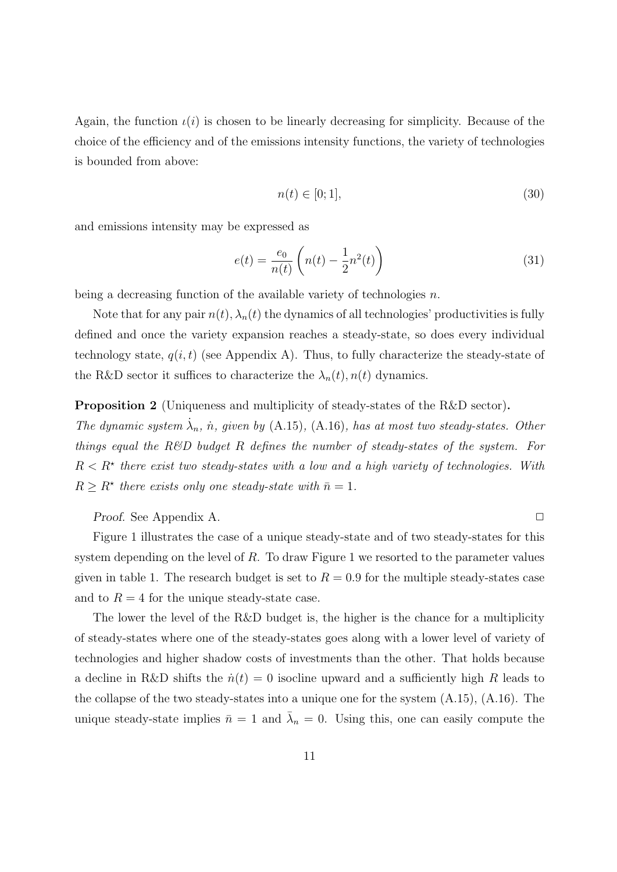Again, the function  $\iota(i)$  is chosen to be linearly decreasing for simplicity. Because of the choice of the efficiency and of the emissions intensity functions, the variety of technologies is bounded from above:

$$
n(t) \in [0; 1],\tag{30}
$$

and emissions intensity may be expressed as

$$
e(t) = \frac{e_0}{n(t)} \left( n(t) - \frac{1}{2} n^2(t) \right)
$$
 (31)

being a decreasing function of the available variety of technologies  $n$ .

Note that for any pair  $n(t)$ ,  $\lambda_n(t)$  the dynamics of all technologies' productivities is fully defined and once the variety expansion reaches a steady-state, so does every individual technology state,  $q(i, t)$  (see Appendix A). Thus, to fully characterize the steady-state of the R&D sector it suffices to characterize the  $\lambda_n(t)$ ,  $n(t)$  dynamics.

#### Proposition 2 (Uniqueness and multiplicity of steady-states of the R&D sector).

The dynamic system  $\dot{\lambda}_n$ ,  $\dot{n}$ , given by (A.15), (A.16), has at most two steady-states. Other things equal the  $R\&D$  budget R defines the number of steady-states of the system. For  $R < R^*$  there exist two steady-states with a low and a high variety of technologies. With  $R \geq R^*$  there exists only one steady-state with  $\bar{n} = 1$ .

Proof. See Appendix A. ◯

Figure 1 illustrates the case of a unique steady-state and of two steady-states for this system depending on the level of  $R$ . To draw Figure 1 we resorted to the parameter values given in table 1. The research budget is set to  $R = 0.9$  for the multiple steady-states case and to  $R = 4$  for the unique steady-state case.

The lower the level of the R&D budget is, the higher is the chance for a multiplicity of steady-states where one of the steady-states goes along with a lower level of variety of technologies and higher shadow costs of investments than the other. That holds because a decline in R&D shifts the  $\dot{n}(t) = 0$  isocline upward and a sufficiently high R leads to the collapse of the two steady-states into a unique one for the system  $(A.15)$ ,  $(A.16)$ . The unique steady-state implies  $\bar{n} = 1$  and  $\bar{\lambda}_n = 0$ . Using this, one can easily compute the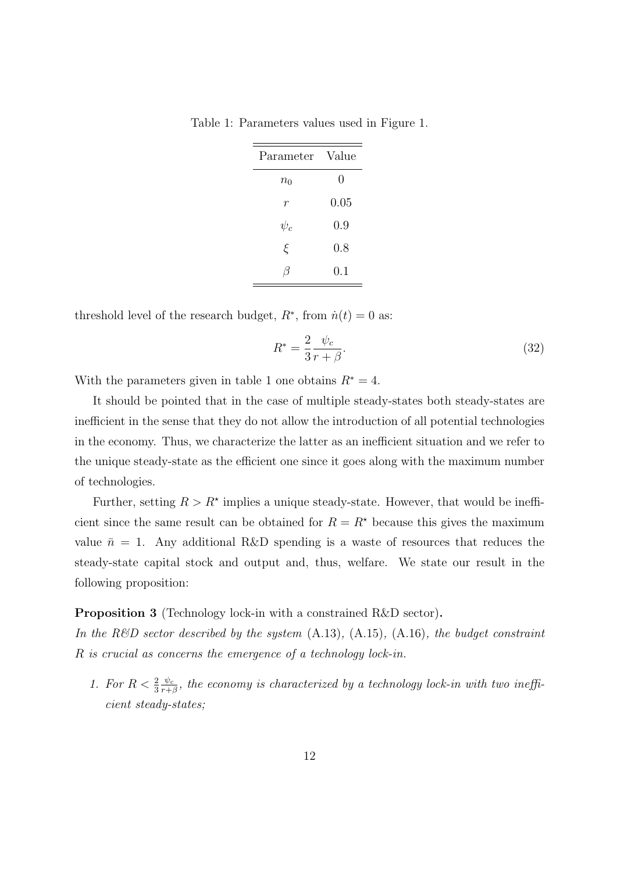| Parameter        | Value   |
|------------------|---------|
| $n_0$            | 0       |
| $\boldsymbol{r}$ | 0.05    |
| $\psi_c$         | 0.9     |
| ξ                | 0.8     |
| $\sqrt{2}$       | $0.1\,$ |

Table 1: Parameters values used in Figure 1.

threshold level of the research budget,  $R^*$ , from  $\dot{n}(t) = 0$  as:

$$
R^* = \frac{2}{3} \frac{\psi_c}{r + \beta}.\tag{32}
$$

With the parameters given in table 1 one obtains  $R^* = 4$ .

It should be pointed that in the case of multiple steady-states both steady-states are inefficient in the sense that they do not allow the introduction of all potential technologies in the economy. Thus, we characterize the latter as an inefficient situation and we refer to the unique steady-state as the efficient one since it goes along with the maximum number of technologies.

Further, setting  $R > R^*$  implies a unique steady-state. However, that would be inefficient since the same result can be obtained for  $R = R^*$  because this gives the maximum value  $\bar{n} = 1$ . Any additional R&D spending is a waste of resources that reduces the steady-state capital stock and output and, thus, welfare. We state our result in the following proposition:

#### Proposition 3 (Technology lock-in with a constrained R&D sector).

In the R&D sector described by the system  $(A.13)$ ,  $(A.15)$ ,  $(A.16)$ , the budget constraint R is crucial as concerns the emergence of a technology lock-in.

1. For  $R < \frac{2}{3}$  $\psi_c$  $\frac{\psi_c}{r+\beta}$ , the economy is characterized by a technology lock-in with two inefficient steady-states;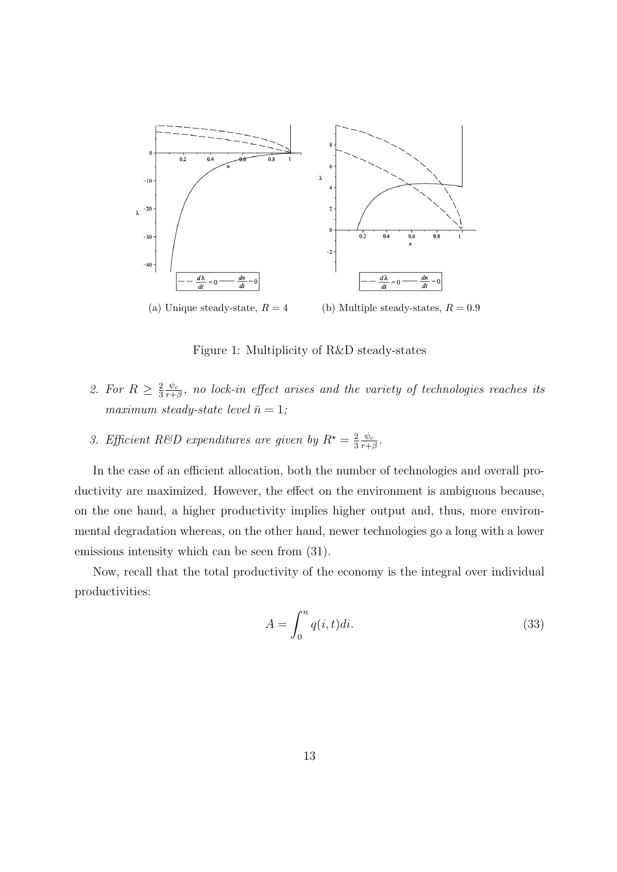

Figure 1: Multiplicity of R&D steady-states

- 2. For  $R \geq \frac{2}{3}$ 3  $\psi_c$  $\frac{\psi_c}{r+\beta},$  no lock-in effect arises and the variety of technologies reaches its maximum steady-state level  $\bar{n} = 1$ ;
- 3. Efficient R&D expenditures are given by  $R^* = \frac{2}{3}$ 3  $\psi_c$  $\frac{\psi_c}{r+\beta}$  .

In the case of an efficient allocation, both the number of technologies and overall productivity are maximized. However, the effect on the environment is ambiguous because, on the one hand, a higher productivity implies higher output and, thus, more environmental degradation whereas, on the other hand, newer technologies go a long with a lower emissions intensity which can be seen from (31).

Now, recall that the total productivity of the economy is the integral over individual productivities:

$$
A = \int_0^n q(i, t)di.
$$
 (33)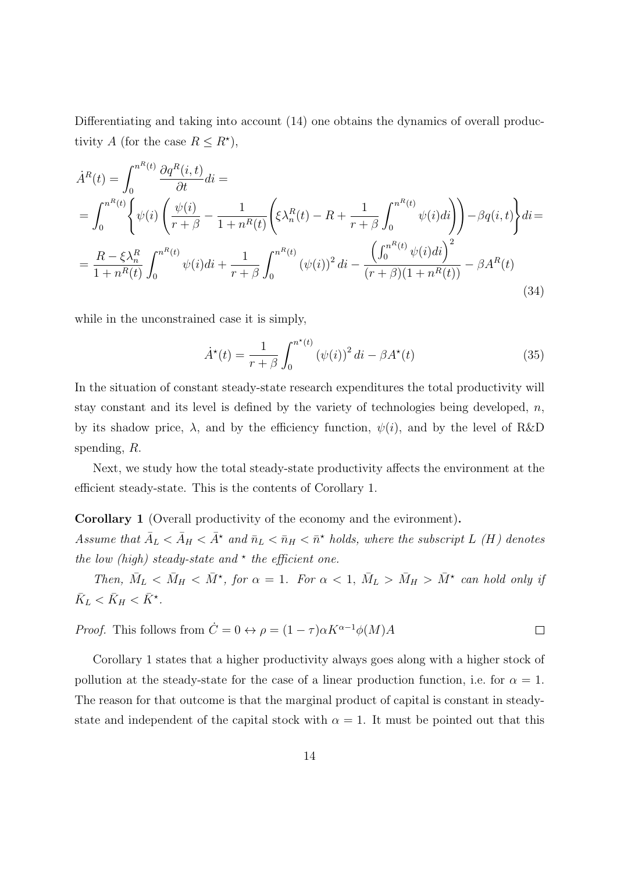Differentiating and taking into account (14) one obtains the dynamics of overall productivity A (for the case  $R \leq R^*$ ),

$$
\dot{A}^{R}(t) = \int_{0}^{n^{R}(t)} \frac{\partial q^{R}(i,t)}{\partial t} dt =
$$
\n
$$
= \int_{0}^{n^{R}(t)} \left\{ \psi(i) \left( \frac{\psi(i)}{r+\beta} - \frac{1}{1+n^{R}(t)} \left( \xi \lambda_{n}^{R}(t) - R + \frac{1}{r+\beta} \int_{0}^{n^{R}(t)} \psi(i)di \right) \right) - \beta q(i,t) \right\} di =
$$
\n
$$
= \frac{R - \xi \lambda_{n}^{R}}{1+n^{R}(t)} \int_{0}^{n^{R}(t)} \psi(i)di + \frac{1}{r+\beta} \int_{0}^{n^{R}(t)} (\psi(i))^{2} di - \frac{\left( \int_{0}^{n^{R}(t)} \psi(i)di \right)^{2}}{(r+\beta)(1+n^{R}(t))} - \beta A^{R}(t)
$$
\n(34)

while in the unconstrained case it is simply,

$$
\dot{A}^*(t) = \frac{1}{r+\beta} \int_0^{n^*(t)} (\psi(i))^2 \, di - \beta A^*(t) \tag{35}
$$

In the situation of constant steady-state research expenditures the total productivity will stay constant and its level is defined by the variety of technologies being developed,  $n$ , by its shadow price,  $\lambda$ , and by the efficiency function,  $\psi(i)$ , and by the level of R&D spending, R.

Next, we study how the total steady-state productivity affects the environment at the efficient steady-state. This is the contents of Corollary 1.

#### Corollary 1 (Overall productivity of the economy and the evironment).

Assume that  $\bar{A}_L < \bar{A}_H < \bar{A}^*$  and  $\bar{n}_L < \bar{n}_H < \bar{n}^*$  holds, where the subscript L (H) denotes the low (high) steady-state and  $*$  the efficient one.

Then,  $\bar{M}_L < \bar{M}_H < \bar{M}^*$ , for  $\alpha = 1$ . For  $\alpha < 1$ ,  $\bar{M}_L > \bar{M}_H > \bar{M}^*$  can hold only if  $\bar{K}_L < \bar{K}_H < \bar{K}^*$ .

*Proof.* This follows from 
$$
\dot{C} = 0 \leftrightarrow \rho = (1 - \tau)\alpha K^{\alpha - 1} \phi(M)A
$$

Corollary 1 states that a higher productivity always goes along with a higher stock of pollution at the steady-state for the case of a linear production function, i.e. for  $\alpha = 1$ . The reason for that outcome is that the marginal product of capital is constant in steadystate and independent of the capital stock with  $\alpha = 1$ . It must be pointed out that this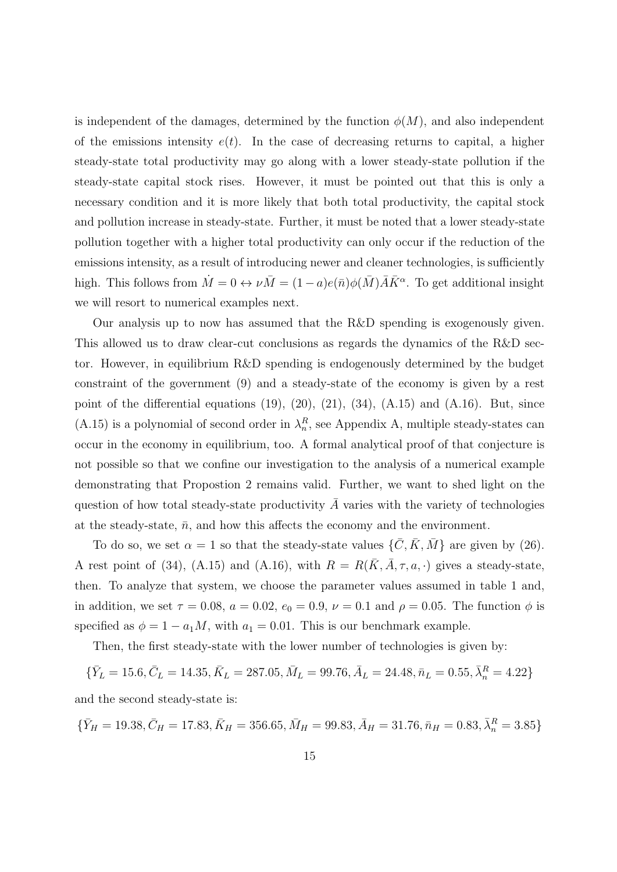is independent of the damages, determined by the function  $\phi(M)$ , and also independent of the emissions intensity  $e(t)$ . In the case of decreasing returns to capital, a higher steady-state total productivity may go along with a lower steady-state pollution if the steady-state capital stock rises. However, it must be pointed out that this is only a necessary condition and it is more likely that both total productivity, the capital stock and pollution increase in steady-state. Further, it must be noted that a lower steady-state pollution together with a higher total productivity can only occur if the reduction of the emissions intensity, as a result of introducing newer and cleaner technologies, is sufficiently high. This follows from  $\dot{M} = 0 \leftrightarrow \nu \bar{M} = (1 - a)e(\bar{n})\phi(\bar{M})\bar{A}\bar{K}^{\alpha}$ . To get additional insight we will resort to numerical examples next.

Our analysis up to now has assumed that the R&D spending is exogenously given. This allowed us to draw clear-cut conclusions as regards the dynamics of the R&D sector. However, in equilibrium R&D spending is endogenously determined by the budget constraint of the government (9) and a steady-state of the economy is given by a rest point of the differential equations  $(19)$ ,  $(20)$ ,  $(21)$ ,  $(34)$ ,  $(A.15)$  and  $(A.16)$ . But, since (A.15) is a polynomial of second order in  $\lambda_n^R$ , see Appendix A, multiple steady-states can occur in the economy in equilibrium, too. A formal analytical proof of that conjecture is not possible so that we confine our investigation to the analysis of a numerical example demonstrating that Propostion 2 remains valid. Further, we want to shed light on the question of how total steady-state productivity  $\overline{A}$  varies with the variety of technologies at the steady-state,  $\bar{n}$ , and how this affects the economy and the environment.

To do so, we set  $\alpha = 1$  so that the steady-state values  $\{\bar{C}, \bar{K}, \bar{M}\}$  are given by (26). A rest point of (34), (A.15) and (A.16), with  $R = R(\bar{K}, \bar{A}, \tau, a, \cdot)$  gives a steady-state, then. To analyze that system, we choose the parameter values assumed in table 1 and, in addition, we set  $\tau = 0.08$ ,  $a = 0.02$ ,  $e_0 = 0.9$ ,  $\nu = 0.1$  and  $\rho = 0.05$ . The function  $\phi$  is specified as  $\phi = 1 - a_1 M$ , with  $a_1 = 0.01$ . This is our benchmark example.

Then, the first steady-state with the lower number of technologies is given by:

 $\{\bar{Y}_L = 15.6, \bar{C}_L = 14.35, \bar{K}_L = 287.05, \bar{M}_L = 99.76, \bar{A}_L = 24.48, \bar{n}_L = 0.55, \bar{\lambda}^R_n = 4.22\}$ 

and the second steady-state is:

 $\{\bar{Y}_H = 19.38, \bar{C}_H = 17.83, \bar{K}_H = 356.65, \bar{M}_H = 99.83, \bar{A}_H = 31.76, \bar{n}_H = 0.83, \bar{\lambda}_n^R = 3.85\}$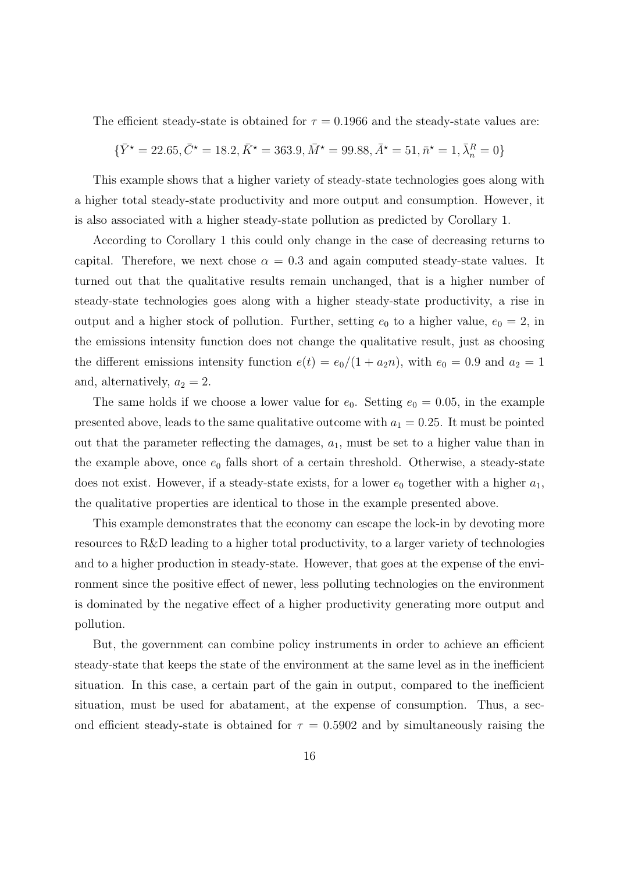The efficient steady-state is obtained for  $\tau = 0.1966$  and the steady-state values are:

$$
\{\bar{Y}^{\star}=22.65, \bar{C}^{\star}=18.2, \bar{K}^{\star}=363.9, \bar{M}^{\star}=99.88, \bar{A}^{\star}=51, \bar{n}^{\star}=1, \bar{\lambda}^{R}_{n}=0\}
$$

This example shows that a higher variety of steady-state technologies goes along with a higher total steady-state productivity and more output and consumption. However, it is also associated with a higher steady-state pollution as predicted by Corollary 1.

According to Corollary 1 this could only change in the case of decreasing returns to capital. Therefore, we next chose  $\alpha = 0.3$  and again computed steady-state values. It turned out that the qualitative results remain unchanged, that is a higher number of steady-state technologies goes along with a higher steady-state productivity, a rise in output and a higher stock of pollution. Further, setting  $e_0$  to a higher value,  $e_0 = 2$ , in the emissions intensity function does not change the qualitative result, just as choosing the different emissions intensity function  $e(t) = e_0/(1 + a_2 n)$ , with  $e_0 = 0.9$  and  $a_2 = 1$ and, alternatively,  $a_2 = 2$ .

The same holds if we choose a lower value for  $e_0$ . Setting  $e_0 = 0.05$ , in the example presented above, leads to the same qualitative outcome with  $a_1 = 0.25$ . It must be pointed out that the parameter reflecting the damages,  $a_1$ , must be set to a higher value than in the example above, once  $e_0$  falls short of a certain threshold. Otherwise, a steady-state does not exist. However, if a steady-state exists, for a lower  $e_0$  together with a higher  $a_1$ , the qualitative properties are identical to those in the example presented above.

This example demonstrates that the economy can escape the lock-in by devoting more resources to R&D leading to a higher total productivity, to a larger variety of technologies and to a higher production in steady-state. However, that goes at the expense of the environment since the positive effect of newer, less polluting technologies on the environment is dominated by the negative effect of a higher productivity generating more output and pollution.

But, the government can combine policy instruments in order to achieve an efficient steady-state that keeps the state of the environment at the same level as in the inefficient situation. In this case, a certain part of the gain in output, compared to the inefficient situation, must be used for abatament, at the expense of consumption. Thus, a second efficient steady-state is obtained for  $\tau = 0.5902$  and by simultaneously raising the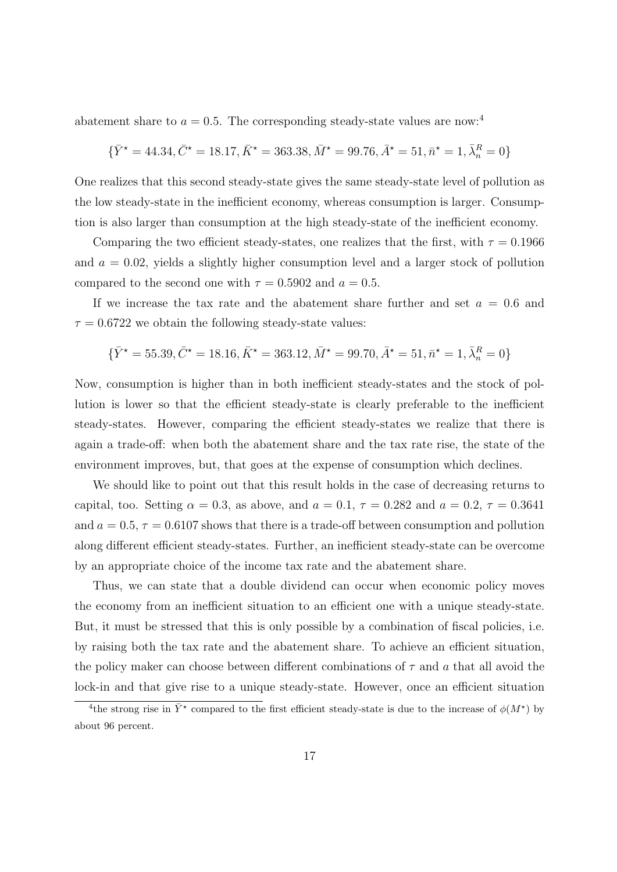abatement share to  $a = 0.5$ . The corresponding steady-state values are now:<sup>4</sup>

$$
\{\bar{Y}^{\star}=44.34, \bar{C}^{\star}=18.17, \bar{K}^{\star}=363.38, \bar{M}^{\star}=99.76, \bar{A}^{\star}=51, \bar{n}^{\star}=1, \bar{\lambda}^{R}_{n}=0\}
$$

One realizes that this second steady-state gives the same steady-state level of pollution as the low steady-state in the inefficient economy, whereas consumption is larger. Consumption is also larger than consumption at the high steady-state of the inefficient economy.

Comparing the two efficient steady-states, one realizes that the first, with  $\tau = 0.1966$ and  $a = 0.02$ , yields a slightly higher consumption level and a larger stock of pollution compared to the second one with  $\tau = 0.5902$  and  $a = 0.5$ .

If we increase the tax rate and the abatement share further and set  $a = 0.6$  and  $\tau = 0.6722$  we obtain the following steady-state values:

$$
\{\bar{Y}^{\star}=55.39, \bar{C}^{\star}=18.16, \bar{K}^{\star}=363.12, \bar{M}^{\star}=99.70, \bar{A}^{\star}=51, \bar{n}^{\star}=1, \bar{\lambda}^{R}_{n}=0\}
$$

Now, consumption is higher than in both inefficient steady-states and the stock of pollution is lower so that the efficient steady-state is clearly preferable to the inefficient steady-states. However, comparing the efficient steady-states we realize that there is again a trade-off: when both the abatement share and the tax rate rise, the state of the environment improves, but, that goes at the expense of consumption which declines.

We should like to point out that this result holds in the case of decreasing returns to capital, too. Setting  $\alpha = 0.3$ , as above, and  $a = 0.1$ ,  $\tau = 0.282$  and  $a = 0.2$ ,  $\tau = 0.3641$ and  $a = 0.5$ ,  $\tau = 0.6107$  shows that there is a trade-off between consumption and pollution along different efficient steady-states. Further, an inefficient steady-state can be overcome by an appropriate choice of the income tax rate and the abatement share.

Thus, we can state that a double dividend can occur when economic policy moves the economy from an inefficient situation to an efficient one with a unique steady-state. But, it must be stressed that this is only possible by a combination of fiscal policies, i.e. by raising both the tax rate and the abatement share. To achieve an efficient situation, the policy maker can choose between different combinations of  $\tau$  and  $\alpha$  that all avoid the lock-in and that give rise to a unique steady-state. However, once an efficient situation

<sup>&</sup>lt;sup>4</sup>the strong rise in  $\bar{Y}^*$  compared to the first efficient steady-state is due to the increase of  $\phi(M^*)$  by about 96 percent.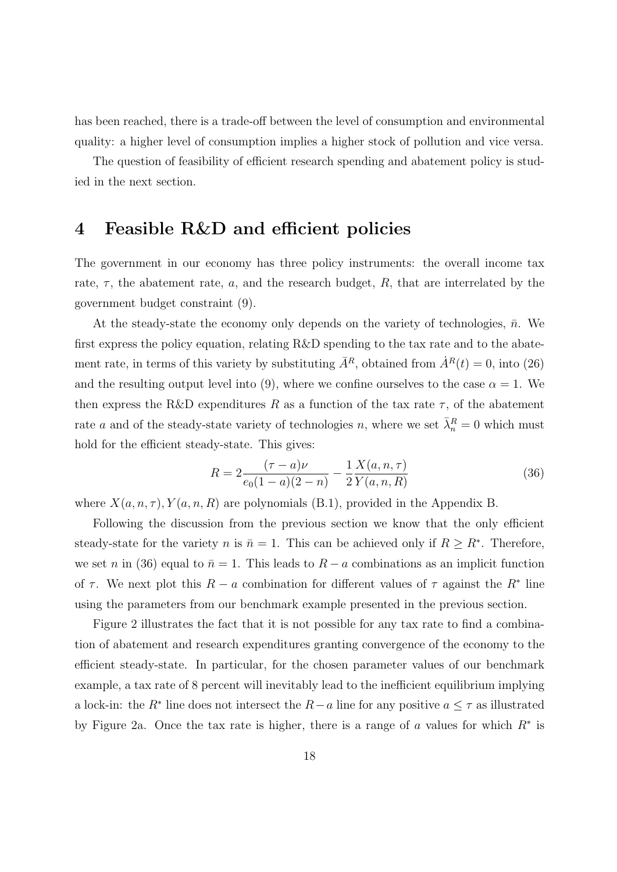has been reached, there is a trade-off between the level of consumption and environmental quality: a higher level of consumption implies a higher stock of pollution and vice versa.

The question of feasibility of efficient research spending and abatement policy is studied in the next section.

## 4 Feasible R&D and efficient policies

The government in our economy has three policy instruments: the overall income tax rate,  $\tau$ , the abatement rate, a, and the research budget, R, that are interrelated by the government budget constraint (9).

At the steady-state the economy only depends on the variety of technologies,  $\bar{n}$ . We first express the policy equation, relating R&D spending to the tax rate and to the abatement rate, in terms of this variety by substituting  $\bar{A}^R$ , obtained from  $\dot{A}^R(t) = 0$ , into (26) and the resulting output level into (9), where we confine ourselves to the case  $\alpha = 1$ . We then express the R&D expenditures R as a function of the tax rate  $\tau$ , of the abatement rate a and of the steady-state variety of technologies n, where we set  $\bar{\lambda}_n^R = 0$  which must hold for the efficient steady-state. This gives:

$$
R = 2\frac{(\tau - a)\nu}{e_0(1 - a)(2 - n)} - \frac{1}{2}\frac{X(a, n, \tau)}{Y(a, n, R)}
$$
(36)

where  $X(a, n, \tau)$ ,  $Y(a, n, R)$  are polynomials (B.1), provided in the Appendix B.

Following the discussion from the previous section we know that the only efficient steady-state for the variety n is  $\bar{n} = 1$ . This can be achieved only if  $R \geq R^*$ . Therefore, we set n in (36) equal to  $\bar{n} = 1$ . This leads to  $R - a$  combinations as an implicit function of  $\tau$ . We next plot this  $R - a$  combination for different values of  $\tau$  against the  $R^*$  line using the parameters from our benchmark example presented in the previous section.

Figure 2 illustrates the fact that it is not possible for any tax rate to find a combination of abatement and research expenditures granting convergence of the economy to the efficient steady-state. In particular, for the chosen parameter values of our benchmark example, a tax rate of 8 percent will inevitably lead to the inefficient equilibrium implying a lock-in: the  $R^*$  line does not intersect the  $R-a$  line for any positive  $a \leq \tau$  as illustrated by Figure 2a. Once the tax rate is higher, there is a range of a values for which  $R^*$  is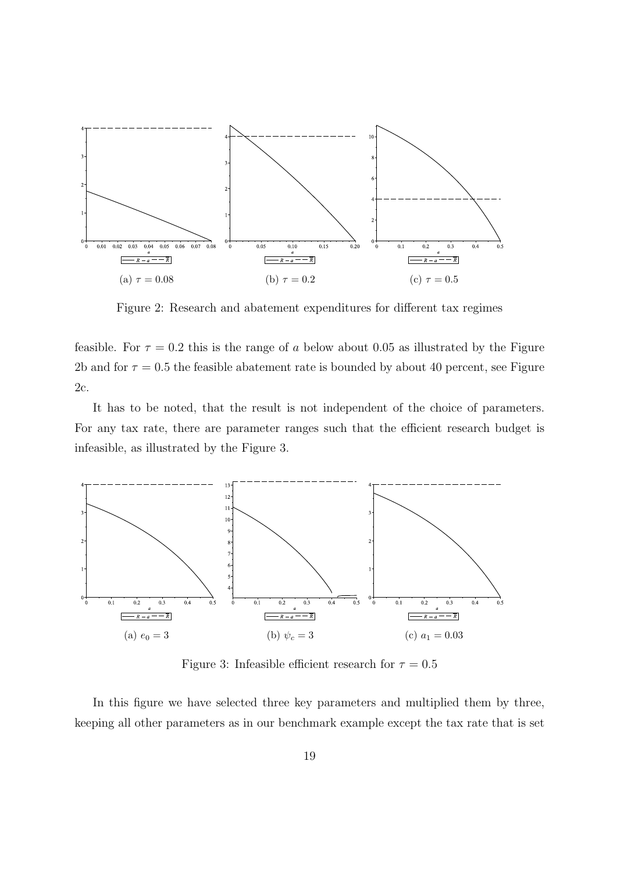

Figure 2: Research and abatement expenditures for different tax regimes

feasible. For  $\tau = 0.2$  this is the range of a below about 0.05 as illustrated by the Figure 2b and for  $\tau = 0.5$  the feasible abatement rate is bounded by about 40 percent, see Figure 2c.

It has to be noted, that the result is not independent of the choice of parameters. For any tax rate, there are parameter ranges such that the efficient research budget is infeasible, as illustrated by the Figure 3.



Figure 3: Infeasible efficient research for  $\tau = 0.5$ 

In this figure we have selected three key parameters and multiplied them by three, keeping all other parameters as in our benchmark example except the tax rate that is set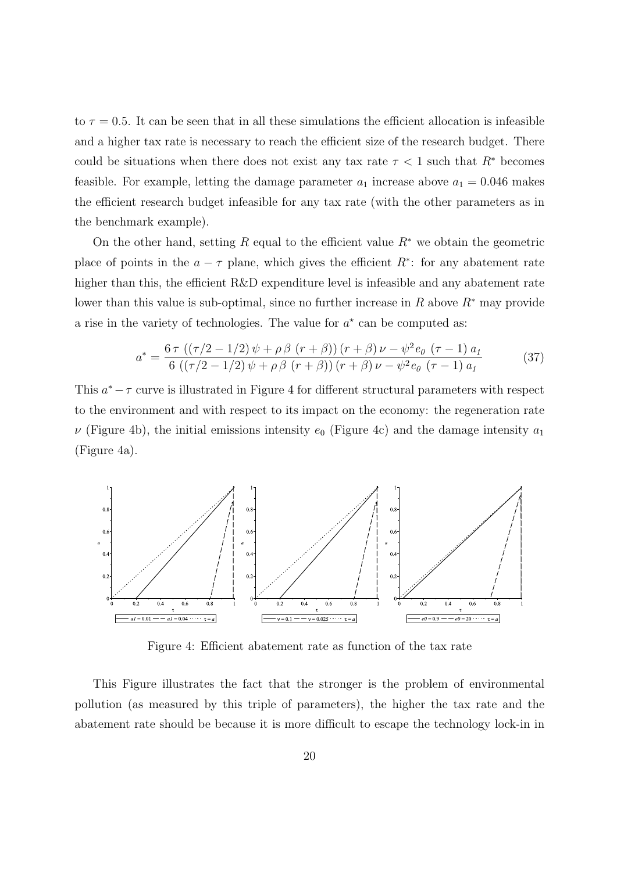to  $\tau = 0.5$ . It can be seen that in all these simulations the efficient allocation is infeasible and a higher tax rate is necessary to reach the efficient size of the research budget. There could be situations when there does not exist any tax rate  $\tau$  < 1 such that  $R^*$  becomes feasible. For example, letting the damage parameter  $a_1$  increase above  $a_1 = 0.046$  makes the efficient research budget infeasible for any tax rate (with the other parameters as in the benchmark example).

On the other hand, setting R equal to the efficient value  $R^*$  we obtain the geometric place of points in the  $a - \tau$  plane, which gives the efficient  $R^*$ : for any abatement rate higher than this, the efficient R&D expenditure level is infeasible and any abatement rate lower than this value is sub-optimal, since no further increase in R above  $R^*$  may provide a rise in the variety of technologies. The value for  $a^*$  can be computed as:

$$
a^* = \frac{6\,\tau\,\left((\tau/2 - 1/2)\,\psi + \rho\,\beta\,\left(r + \beta\right)\right)\,\left(r + \beta\right)\,\nu - \psi^2\,e_0\,\left(\tau - 1\right)\,a_1}{6\,\left((\tau/2 - 1/2)\,\psi + \rho\,\beta\,\left(r + \beta\right)\right)\,\left(r + \beta\right)\,\nu - \psi^2\,e_0\,\left(\tau - 1\right)\,a_1}
$$
\n(37)

This  $a^* - \tau$  curve is illustrated in Figure 4 for different structural parameters with respect to the environment and with respect to its impact on the economy: the regeneration rate  $\nu$  (Figure 4b), the initial emissions intensity  $e_0$  (Figure 4c) and the damage intensity  $a_1$ (Figure 4a).



Figure 4: Efficient abatement rate as function of the tax rate

This Figure illustrates the fact that the stronger is the problem of environmental pollution (as measured by this triple of parameters), the higher the tax rate and the abatement rate should be because it is more difficult to escape the technology lock-in in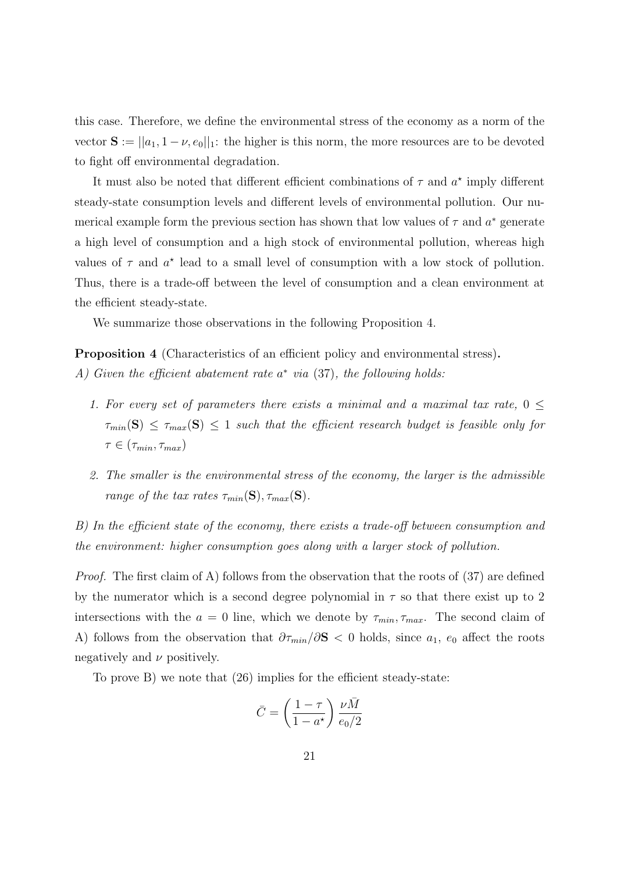this case. Therefore, we define the environmental stress of the economy as a norm of the vector  $S := ||a_1, 1 - \nu, e_0||_1$ : the higher is this norm, the more resources are to be devoted to fight off environmental degradation.

It must also be noted that different efficient combinations of  $\tau$  and  $a^*$  imply different steady-state consumption levels and different levels of environmental pollution. Our numerical example form the previous section has shown that low values of  $\tau$  and  $a^*$  generate a high level of consumption and a high stock of environmental pollution, whereas high values of  $\tau$  and  $a^*$  lead to a small level of consumption with a low stock of pollution. Thus, there is a trade-off between the level of consumption and a clean environment at the efficient steady-state.

We summarize those observations in the following Proposition 4.

Proposition 4 (Characteristics of an efficient policy and environmental stress). A) Given the efficient abatement rate  $a^*$  via (37), the following holds:

- 1. For every set of parameters there exists a minimal and a maximal tax rate,  $0 \leq$  $\tau_{min}(\mathbf{S}) \leq \tau_{max}(\mathbf{S}) \leq 1$  such that the efficient research budget is feasible only for  $\tau \in (\tau_{min}, \tau_{max})$
- 2. The smaller is the environmental stress of the economy, the larger is the admissible range of the tax rates  $\tau_{min}(\mathbf{S}), \tau_{max}(\mathbf{S}).$

B) In the efficient state of the economy, there exists a trade-off between consumption and the environment: higher consumption goes along with a larger stock of pollution.

Proof. The first claim of A) follows from the observation that the roots of (37) are defined by the numerator which is a second degree polynomial in  $\tau$  so that there exist up to 2 intersections with the  $a = 0$  line, which we denote by  $\tau_{min}, \tau_{max}$ . The second claim of A) follows from the observation that  $\partial \tau_{min}/\partial S < 0$  holds, since  $a_1$ ,  $e_0$  affect the roots negatively and  $\nu$  positively.

To prove B) we note that (26) implies for the efficient steady-state:

$$
\bar{C} = \left(\frac{1-\tau}{1-a^\star}\right) \frac{\nu \bar{M}}{e_0/2}
$$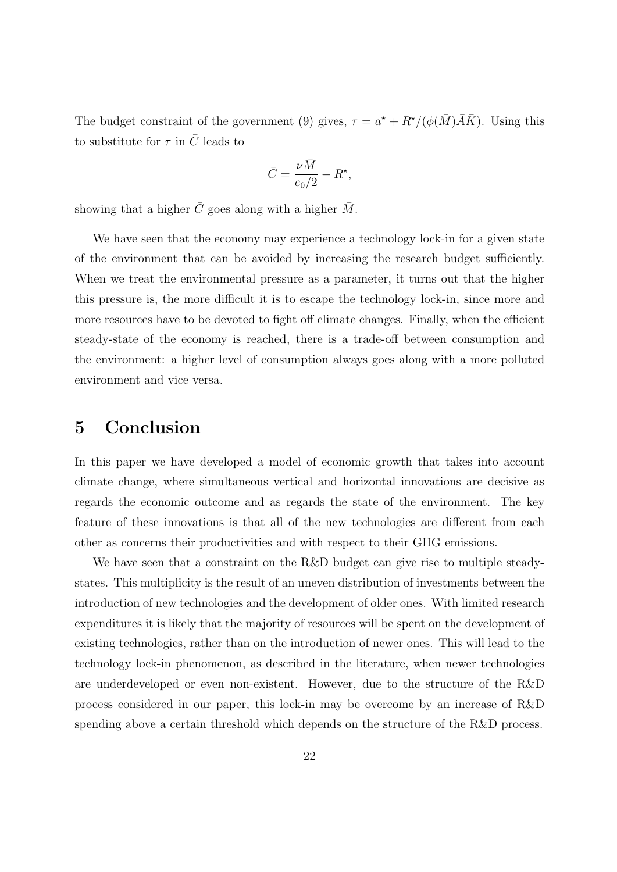The budget constraint of the government (9) gives,  $\tau = a^* + R^*/(\phi(\bar{M})\bar{A}\bar{K})$ . Using this to substitute for  $\tau$  in  $\overline{C}$  leads to

$$
\bar{C} = \frac{\nu \bar{M}}{e_0/2} - R^\star,
$$

showing that a higher  $\overline{C}$  goes along with a higher  $\overline{M}$ .

We have seen that the economy may experience a technology lock-in for a given state of the environment that can be avoided by increasing the research budget sufficiently. When we treat the environmental pressure as a parameter, it turns out that the higher this pressure is, the more difficult it is to escape the technology lock-in, since more and more resources have to be devoted to fight off climate changes. Finally, when the efficient steady-state of the economy is reached, there is a trade-off between consumption and the environment: a higher level of consumption always goes along with a more polluted environment and vice versa.

## 5 Conclusion

In this paper we have developed a model of economic growth that takes into account climate change, where simultaneous vertical and horizontal innovations are decisive as regards the economic outcome and as regards the state of the environment. The key feature of these innovations is that all of the new technologies are different from each other as concerns their productivities and with respect to their GHG emissions.

We have seen that a constraint on the R&D budget can give rise to multiple steadystates. This multiplicity is the result of an uneven distribution of investments between the introduction of new technologies and the development of older ones. With limited research expenditures it is likely that the majority of resources will be spent on the development of existing technologies, rather than on the introduction of newer ones. This will lead to the technology lock-in phenomenon, as described in the literature, when newer technologies are underdeveloped or even non-existent. However, due to the structure of the R&D process considered in our paper, this lock-in may be overcome by an increase of R&D spending above a certain threshold which depends on the structure of the R&D process.

 $\Box$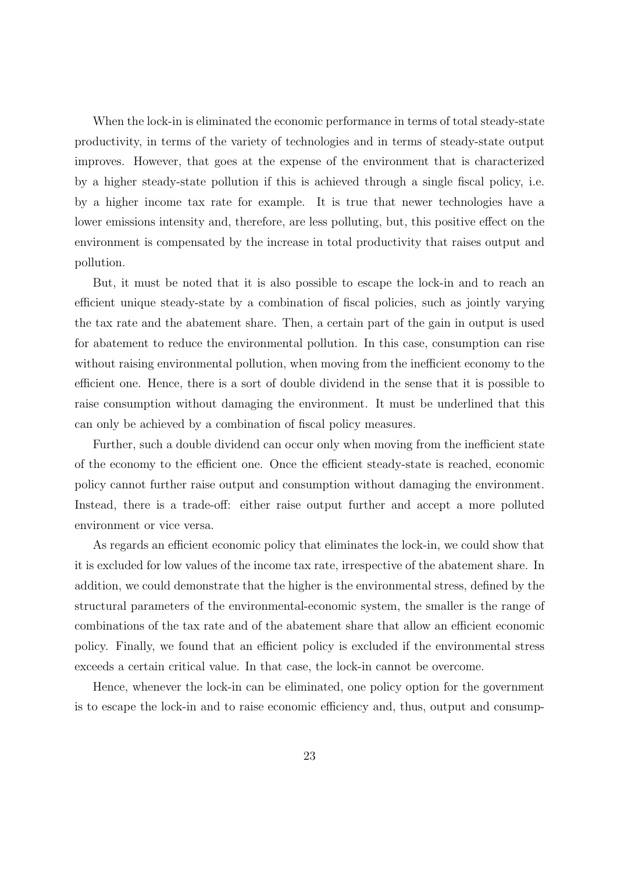When the lock-in is eliminated the economic performance in terms of total steady-state productivity, in terms of the variety of technologies and in terms of steady-state output improves. However, that goes at the expense of the environment that is characterized by a higher steady-state pollution if this is achieved through a single fiscal policy, i.e. by a higher income tax rate for example. It is true that newer technologies have a lower emissions intensity and, therefore, are less polluting, but, this positive effect on the environment is compensated by the increase in total productivity that raises output and pollution.

But, it must be noted that it is also possible to escape the lock-in and to reach an efficient unique steady-state by a combination of fiscal policies, such as jointly varying the tax rate and the abatement share. Then, a certain part of the gain in output is used for abatement to reduce the environmental pollution. In this case, consumption can rise without raising environmental pollution, when moving from the inefficient economy to the efficient one. Hence, there is a sort of double dividend in the sense that it is possible to raise consumption without damaging the environment. It must be underlined that this can only be achieved by a combination of fiscal policy measures.

Further, such a double dividend can occur only when moving from the inefficient state of the economy to the efficient one. Once the efficient steady-state is reached, economic policy cannot further raise output and consumption without damaging the environment. Instead, there is a trade-off: either raise output further and accept a more polluted environment or vice versa.

As regards an efficient economic policy that eliminates the lock-in, we could show that it is excluded for low values of the income tax rate, irrespective of the abatement share. In addition, we could demonstrate that the higher is the environmental stress, defined by the structural parameters of the environmental-economic system, the smaller is the range of combinations of the tax rate and of the abatement share that allow an efficient economic policy. Finally, we found that an efficient policy is excluded if the environmental stress exceeds a certain critical value. In that case, the lock-in cannot be overcome.

Hence, whenever the lock-in can be eliminated, one policy option for the government is to escape the lock-in and to raise economic efficiency and, thus, output and consump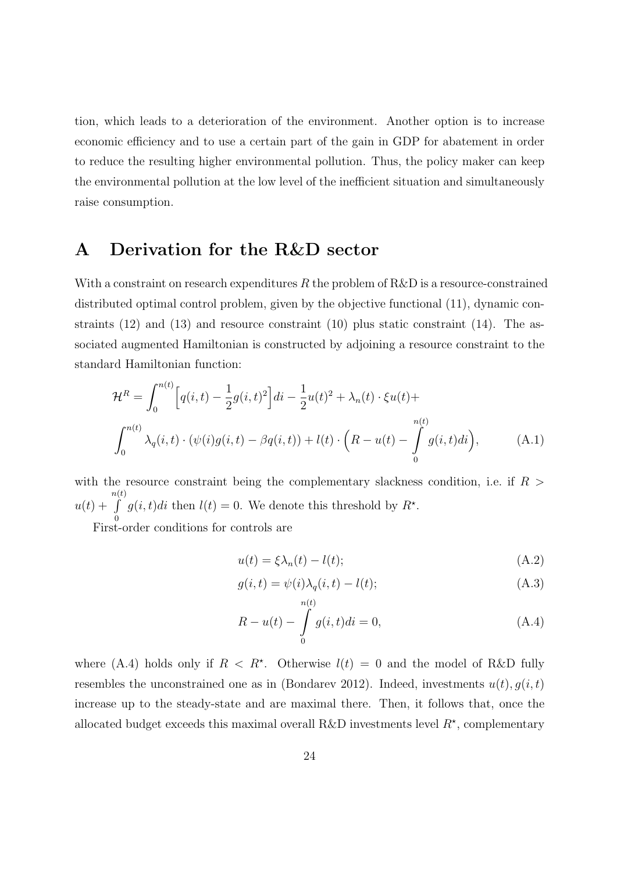tion, which leads to a deterioration of the environment. Another option is to increase economic efficiency and to use a certain part of the gain in GDP for abatement in order to reduce the resulting higher environmental pollution. Thus, the policy maker can keep the environmental pollution at the low level of the inefficient situation and simultaneously raise consumption.

# A Derivation for the R&D sector

With a constraint on research expenditures R the problem of  $R\&D$  is a resource-constrained distributed optimal control problem, given by the objective functional (11), dynamic constraints  $(12)$  and  $(13)$  and resource constraint  $(10)$  plus static constraint  $(14)$ . The associated augmented Hamiltonian is constructed by adjoining a resource constraint to the standard Hamiltonian function:

$$
\mathcal{H}^{R} = \int_{0}^{n(t)} \left[ q(i, t) - \frac{1}{2} g(i, t)^{2} \right] di - \frac{1}{2} u(t)^{2} + \lambda_{n}(t) \cdot \xi u(t) +
$$
  

$$
\int_{0}^{n(t)} \lambda_{q}(i, t) \cdot (\psi(i)g(i, t) - \beta q(i, t)) + l(t) \cdot \left( R - u(t) - \int_{0}^{n(t)} g(i, t)di \right), \tag{A.1}
$$

with the resource constraint being the complementary slackness condition, i.e. if  $R$  >  $u(t) +$  $n(t)$ R 0  $g(i, t)di$  then  $l(t) = 0$ . We denote this threshold by  $R^*$ .

First-order conditions for controls are

$$
u(t) = \xi \lambda_n(t) - l(t); \tag{A.2}
$$

$$
g(i,t) = \psi(i)\lambda_q(i,t) - l(t);
$$
\n(A.3)

$$
R - u(t) - \int_{0}^{h(t)} g(i, t)di = 0,
$$
\n(A.4)

where (A.4) holds only if  $R < R^*$ . Otherwise  $l(t) = 0$  and the model of R&D fully resembles the unconstrained one as in (Bondarev 2012). Indeed, investments  $u(t)$ ,  $g(i, t)$ increase up to the steady-state and are maximal there. Then, it follows that, once the allocated budget exceeds this maximal overall R&D investments level  $R^*$ , complementary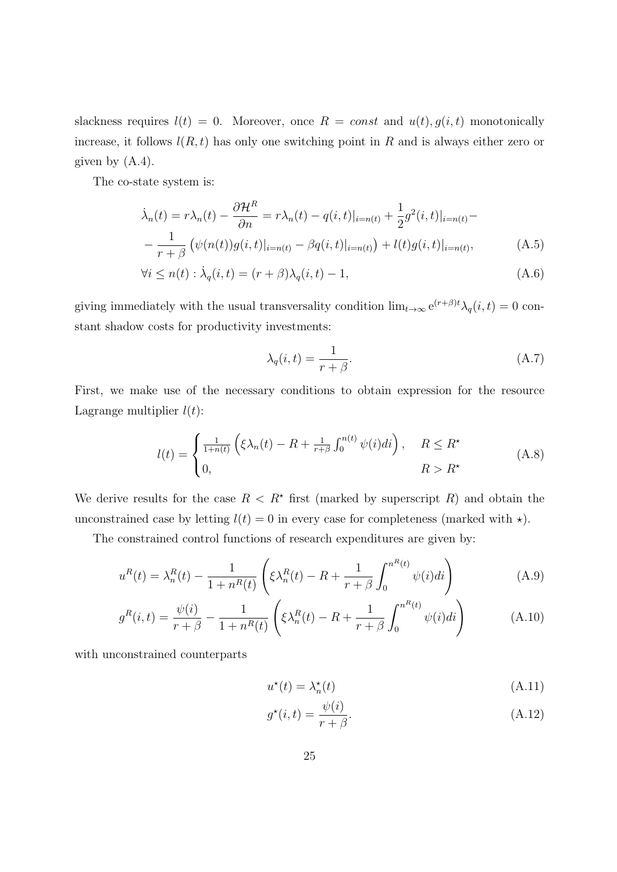slackness requires  $l(t) = 0$ . Moreover, once  $R = const$  and  $u(t), g(i, t)$  monotonically increase, it follows  $l(R, t)$  has only one switching point in R and is always either zero or given by  $(A.4)$ .

The co-state system is:

$$
\dot{\lambda}_n(t) = r\lambda_n(t) - \frac{\partial \mathcal{H}^R}{\partial n} = r\lambda_n(t) - q(i, t)|_{i=n(t)} + \frac{1}{2}g^2(i, t)|_{i=n(t)} - \frac{1}{r+\beta} \left( \psi(n(t))g(i, t)|_{i=n(t)} - \beta q(i, t)|_{i=n(t)} \right) + l(t)g(i, t)|_{i=n(t)},
$$
\n(A.5)

$$
\forall i \le n(t) : \dot{\lambda}_q(i, t) = (r + \beta)\lambda_q(i, t) - 1,\tag{A.6}
$$

giving immediately with the usual transversality condition  $\lim_{t\to\infty} e^{(r+\beta)t} \lambda_q(i,t) = 0$  constant shadow costs for productivity investments:

$$
\lambda_q(i,t) = \frac{1}{r+\beta}.\tag{A.7}
$$

First, we make use of the necessary conditions to obtain expression for the resource Lagrange multiplier  $l(t)$ :

$$
l(t) = \begin{cases} \frac{1}{1+n(t)} \left( \xi \lambda_n(t) - R + \frac{1}{r+\beta} \int_0^{n(t)} \psi(i) di \right), & R \le R^* \\ 0, & R > R^* \end{cases}
$$
 (A.8)

We derive results for the case  $R < R^*$  first (marked by superscript R) and obtain the unconstrained case by letting  $l(t) = 0$  in every case for completeness (marked with  $\star$ ).

The constrained control functions of research expenditures are given by:

$$
u^{R}(t) = \lambda_{n}^{R}(t) - \frac{1}{1 + n^{R}(t)} \left( \xi \lambda_{n}^{R}(t) - R + \frac{1}{r + \beta} \int_{0}^{n^{R}(t)} \psi(i) di \right)
$$
(A.9)

$$
g^{R}(i,t) = \frac{\psi(i)}{r+\beta} - \frac{1}{1+n^{R}(t)} \left( \xi \lambda_{n}^{R}(t) - R + \frac{1}{r+\beta} \int_{0}^{n^{R}(t)} \psi(i)di \right)
$$
(A.10)

with unconstrained counterparts

$$
u^*(t) = \lambda_n^*(t) \tag{A.11}
$$

$$
g^*(i,t) = \frac{\psi(i)}{r+\beta}.
$$
\n(A.12)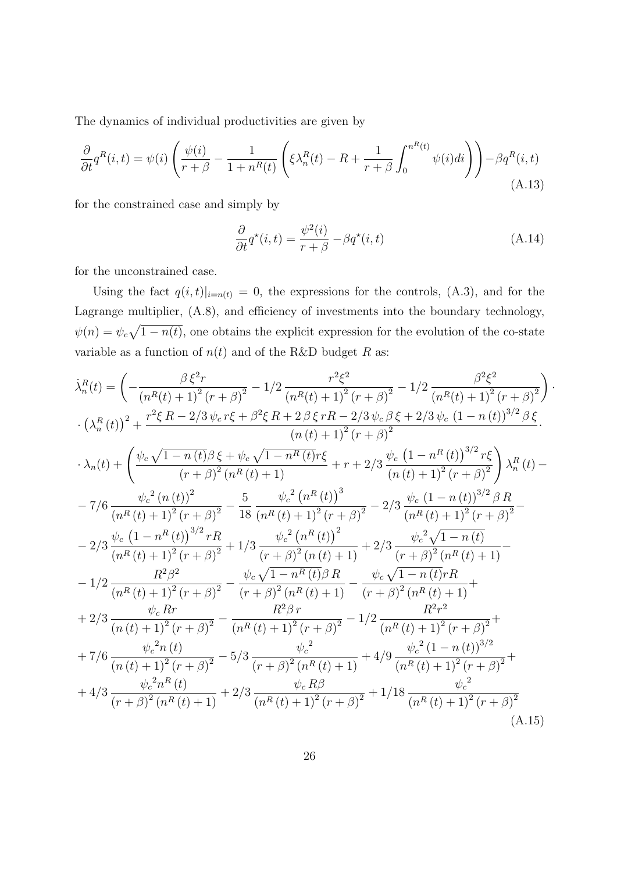The dynamics of individual productivities are given by

$$
\frac{\partial}{\partial t}q^{R}(i,t) = \psi(i)\left(\frac{\psi(i)}{r+\beta} - \frac{1}{1+n^{R}(t)}\left(\xi\lambda_{n}^{R}(t) - R + \frac{1}{r+\beta}\int_{0}^{n^{R}(t)}\psi(i)di\right)\right) - \beta q^{R}(i,t)
$$
\n(A.13)

for the constrained case and simply by

$$
\frac{\partial}{\partial t}q^*(i,t) = \frac{\psi^2(i)}{r+\beta} - \beta q^*(i,t)
$$
\n(A.14)

for the unconstrained case.

Using the fact  $q(i, t)|_{i=n(t)} = 0$ , the expressions for the controls, (A.3), and for the Lagrange multiplier, (A.8), and efficiency of investments into the boundary technology,  $\psi(n) = \psi_c \sqrt{1 - n(t)}$ , one obtains the explicit expression for the evolution of the co-state variable as a function of  $n(t)$  and of the R&D budget R as:

$$
\dot{\lambda}_{n}^{R}(t) = \left(-\frac{\beta \xi^{2}r}{(n^{R}(t)+1)^{2}(r+\beta)^{2}} - 1/2 \frac{r^{2}\xi^{2}}{(n^{R}(t)+1)^{2}(r+\beta)^{2}} - 1/2 \frac{\beta^{2}\xi^{2}}{(n^{R}(t)+1)^{2}(r+\beta)^{2}}\right)
$$
  
\n
$$
\cdot \left(\lambda_{n}^{R}(t)\right)^{2} + \frac{r^{2}\xi R - 2/3 \psi_{c}r\xi + \beta^{2}\xi R + 2\beta \xi rR - 2/3 \psi_{c}\beta \xi + 2/3 \psi_{c} (1 - n(t))^{3/2} \beta \xi}{(n(t)+1)^{2}(r+\beta)^{2}}.
$$
  
\n
$$
\lambda_{n}(t) + \left(\frac{\psi_{c}\sqrt{1-n(t)}\beta \xi + \psi_{c}\sqrt{1-n^{R}(t)}r\xi}{(r+\beta)^{2}(n^{R}(t)+1)} + r + 2/3 \frac{\psi_{c}(1-n^{R}(t))^{3/2}r\xi}{(n(t)+1)^{2}(r+\beta)^{2}}\right)\lambda_{n}^{R}(t) -
$$
  
\n
$$
-7/6 \frac{\psi_{c}^{2}(n(t))^{2}}{(n^{R}(t)+1)^{2}(r+\beta)^{2}} - \frac{5}{18} \frac{\psi_{c}^{2}(n^{R}(t))^{3}}{(n^{R}(t)+1)^{2}(r+\beta)^{2}} - 2/3 \frac{\psi_{c}(1-n(t))^{3/2} \beta R}{(n^{R}(t)+1)^{2}(r+\beta)^{2}} -
$$
  
\n
$$
-2/3 \frac{\psi_{c}(1-n^{R}(t))^{3/2}rR}{(n^{R}(t)+1)^{2}(r+\beta)^{2}} + 1/3 \frac{\psi_{c}^{2}(n^{R}(t))^{2}}{(r+\beta)^{2}(n(t)+1)} + 2/3 \frac{\psi_{c}^{2}\sqrt{1-n(t)}}{(r+\beta)^{2}(n^{R}(t)+1)} -
$$
  
\n
$$
-1/2 \frac{R^{2}\beta^{2}}{(n^{R}(t)+1)^{2}(r+\beta)^{2}} - \frac{\psi_{c}\sqrt{1-n^{R}(t)}\beta R}{(r+\beta)^{2}(n^{R}(t)+1)} - \frac{\psi_{c}\sqrt{1-n(t)}rR}{(r+\beta)^{2}(n^{
$$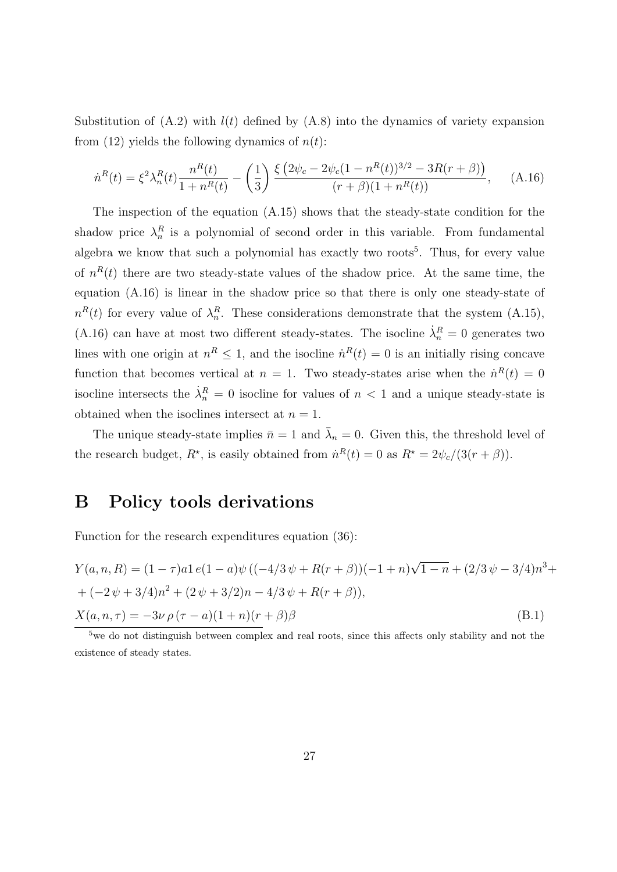Substitution of  $(A.2)$  with  $l(t)$  defined by  $(A.8)$  into the dynamics of variety expansion from (12) yields the following dynamics of  $n(t)$ :

$$
\dot{n}^{R}(t) = \xi^{2} \lambda_{n}^{R}(t) \frac{n^{R}(t)}{1 + n^{R}(t)} - \left(\frac{1}{3}\right) \frac{\xi \left(2\psi_{c} - 2\psi_{c}(1 - n^{R}(t))^{3/2} - 3R(r + \beta)\right)}{(r + \beta)(1 + n^{R}(t))}, \quad (A.16)
$$

The inspection of the equation (A.15) shows that the steady-state condition for the shadow price  $\lambda_n^R$  is a polynomial of second order in this variable. From fundamental algebra we know that such a polynomial has exactly two roots<sup>5</sup>. Thus, for every value of  $n^{R}(t)$  there are two steady-state values of the shadow price. At the same time, the equation (A.16) is linear in the shadow price so that there is only one steady-state of  $n^{R}(t)$  for every value of  $\lambda_n^R$ . These considerations demonstrate that the system (A.15), (A.16) can have at most two different steady-states. The isocline  $\dot{\lambda}_n^R = 0$  generates two lines with one origin at  $n^R \leq 1$ , and the isocline  $\dot{n}^R(t) = 0$  is an initially rising concave function that becomes vertical at  $n = 1$ . Two steady-states arise when the  $\dot{n}^R(t) = 0$ isocline intersects the  $\dot{\lambda}_n^R = 0$  isocline for values of  $n < 1$  and a unique steady-state is obtained when the isoclines intersect at  $n = 1$ .

The unique steady-state implies  $\bar{n} = 1$  and  $\bar{\lambda}_n = 0$ . Given this, the threshold level of the research budget,  $R^*$ , is easily obtained from  $\dot{n}^R(t) = 0$  as  $R^* = 2\psi_c/(3(r+\beta))$ .

## B Policy tools derivations

Function for the research expenditures equation (36):

$$
Y(a, n, R) = (1 - \tau)a1 e(1 - a)\psi ((-4/3 \psi + R(r + \beta))(-1 + n)\sqrt{1 - n} + (2/3 \psi - 3/4)n^{3} +
$$
  
+ (-2 \psi + 3/4)n<sup>2</sup> + (2 \psi + 3/2)n - 4/3 \psi + R(r + \beta)),  

$$
X(a, n, \tau) = -3\nu \rho (\tau - a)(1 + n)(r + \beta)\beta
$$
(B.1)

<sup>&</sup>lt;sup>5</sup>we do not distinguish between complex and real roots, since this affects only stability and not the existence of steady states.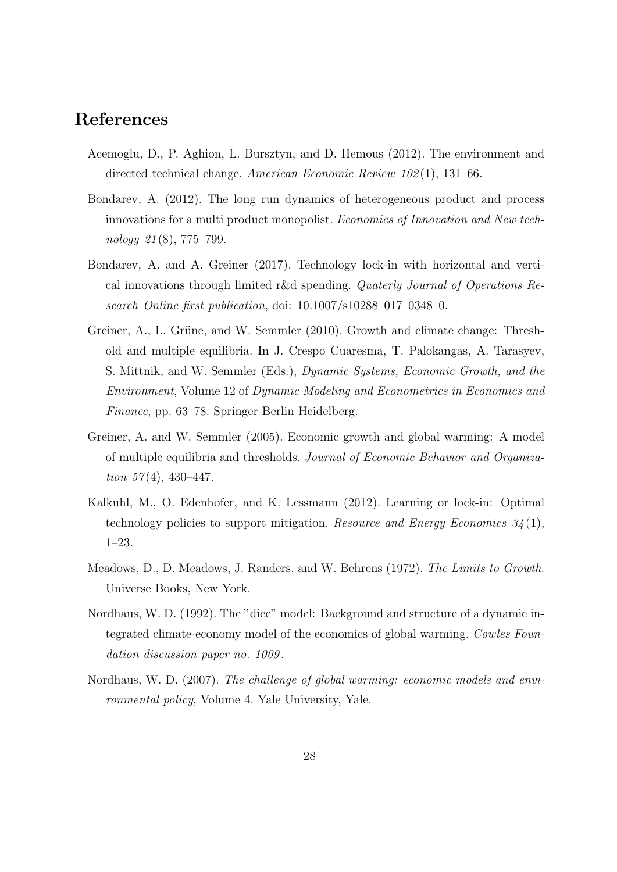## References

- Acemoglu, D., P. Aghion, L. Bursztyn, and D. Hemous (2012). The environment and directed technical change. American Economic Review 102 (1), 131–66.
- Bondarev, A. (2012). The long run dynamics of heterogeneous product and process innovations for a multi product monopolist. Economics of Innovation and New technology 21 (8), 775–799.
- Bondarev, A. and A. Greiner (2017). Technology lock-in with horizontal and vertical innovations through limited r&d spending. Quaterly Journal of Operations Research Online first publication, doi: 10.1007/s10288–017–0348–0.
- Greiner, A., L. Grüne, and W. Semmler (2010). Growth and climate change: Threshold and multiple equilibria. In J. Crespo Cuaresma, T. Palokangas, A. Tarasyev, S. Mittnik, and W. Semmler (Eds.), Dynamic Systems, Economic Growth, and the Environment, Volume 12 of Dynamic Modeling and Econometrics in Economics and Finance, pp. 63–78. Springer Berlin Heidelberg.
- Greiner, A. and W. Semmler (2005). Economic growth and global warming: A model of multiple equilibria and thresholds. Journal of Economic Behavior and Organization  $57(4)$ , 430-447.
- Kalkuhl, M., O. Edenhofer, and K. Lessmann (2012). Learning or lock-in: Optimal technology policies to support mitigation. Resource and Energy Economics  $34(1)$ , 1–23.
- Meadows, D., D. Meadows, J. Randers, and W. Behrens (1972). The Limits to Growth. Universe Books, New York.
- Nordhaus, W. D. (1992). The "dice" model: Background and structure of a dynamic integrated climate-economy model of the economics of global warming. Cowles Foundation discussion paper no. 1009 .
- Nordhaus, W. D. (2007). The challenge of global warming: economic models and environmental policy, Volume 4. Yale University, Yale.